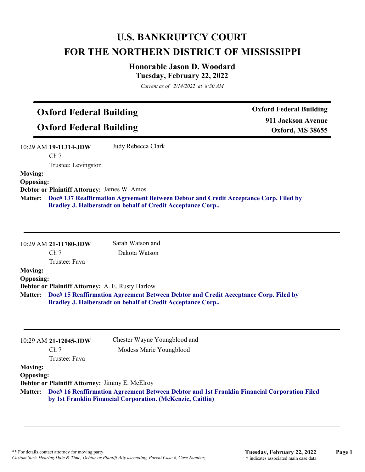# **U.S. BANKRUPTCY COURT FOR THE NORTHERN DISTRICT OF MISSISSIPPI**

## **Honorable Jason D. Woodard Tuesday, February 22, 2022**

*Current as of 2/14/2022 at 8:30 AM*

# **Oxford Federal Building**

**Oxford Federal Building**

**Oxford Federal Building 911 Jackson Avenue Oxford, MS 38655**

10:29 AM **19-11314-JDW**  Ch 7 Judy Rebecca Clark

Trustee: Levingston

## **Moving: Opposing:**

**Debtor or Plaintiff Attorney:** James W. Amos

**Doc# 137 Reaffirmation Agreement Between Debtor and Credit Acceptance Corp. Filed by Matter: Bradley J. Halberstadt on behalf of Credit Acceptance Corp..**

| $10:29$ AM 21-11780-JDW |  |
|-------------------------|--|
| Ch <sub>7</sub>         |  |

Sarah Watson and Dakota Watson

## Trustee: Fava

**Moving: Opposing:**

**Debtor or Plaintiff Attorney:** A. E. Rusty Harlow

**Doc# 15 Reaffirmation Agreement Between Debtor and Credit Acceptance Corp. Filed by Matter: Bradley J. Halberstadt on behalf of Credit Acceptance Corp..**

|                  | 10:29 AM 21-12045-JDW                                 | Chester Wayne Youngblood and                                                                                                                                      |
|------------------|-------------------------------------------------------|-------------------------------------------------------------------------------------------------------------------------------------------------------------------|
|                  | Ch <sub>7</sub>                                       | Modess Marie Youngblood                                                                                                                                           |
|                  | Trustee: Fava                                         |                                                                                                                                                                   |
| <b>Moving:</b>   |                                                       |                                                                                                                                                                   |
| <b>Opposing:</b> |                                                       |                                                                                                                                                                   |
|                  | <b>Debtor or Plaintiff Attorney: Jimmy E. McElroy</b> |                                                                                                                                                                   |
|                  |                                                       | Matter: Doc# 16 Reaffirmation Agreement Between Debtor and 1st Franklin Financial Corporation Filed<br>by 1st Franklin Financial Corporation. (McKenzie, Caitlin) |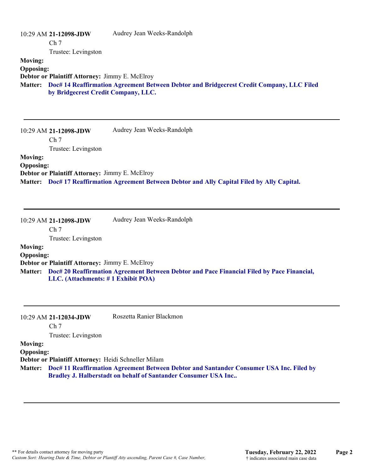|                  | $10:29$ AM 21-12098-JDW<br>Ch <sub>7</sub>            | Audrey Jean Weeks-Randolph                                                               |
|------------------|-------------------------------------------------------|------------------------------------------------------------------------------------------|
|                  | Trustee: Levingston                                   |                                                                                          |
| <b>Moving:</b>   |                                                       |                                                                                          |
| <b>Opposing:</b> |                                                       |                                                                                          |
|                  | <b>Debtor or Plaintiff Attorney: Jimmy E. McElroy</b> |                                                                                          |
| <b>Matter:</b>   | by Bridgecrest Credit Company, LLC.                   | Doc# 14 Reaffirmation Agreement Between Debtor and Bridgecrest Credit Company, LLC Filed |
|                  |                                                       |                                                                                          |

|                  | 10:29 AM 21-12098-JDW                          | Audrey Jean Weeks-Randolph                                                             |
|------------------|------------------------------------------------|----------------------------------------------------------------------------------------|
|                  | Ch <sub>7</sub>                                |                                                                                        |
|                  | Trustee: Levingston                            |                                                                                        |
| <b>Moving:</b>   |                                                |                                                                                        |
| <b>Opposing:</b> |                                                |                                                                                        |
|                  | Debtor or Plaintiff Attorney: Jimmy E. McElroy |                                                                                        |
| <b>Matter:</b>   |                                                | Doc# 17 Reaffirmation Agreement Between Debtor and Ally Capital Filed by Ally Capital. |

|                  | 10:29 AM 21-12098-JDW                          | Audrey Jean Weeks-Randolph                                                                         |
|------------------|------------------------------------------------|----------------------------------------------------------------------------------------------------|
|                  | Ch 7                                           |                                                                                                    |
|                  | Trustee: Levingston                            |                                                                                                    |
| <b>Moving:</b>   |                                                |                                                                                                    |
| <b>Opposing:</b> |                                                |                                                                                                    |
|                  | Debtor or Plaintiff Attorney: Jimmy E. McElroy |                                                                                                    |
|                  |                                                | Matter: Doc# 20 Reaffirmation Agreement Between Debtor and Pace Financial Filed by Pace Financial, |
|                  | LLC. (Attachments: #1 Exhibit POA)             |                                                                                                    |

|                  | 10:29 AM 21-12034-JDW                               | Roszetta Ranier Blackmon                                                                                                                                          |
|------------------|-----------------------------------------------------|-------------------------------------------------------------------------------------------------------------------------------------------------------------------|
|                  | Ch <sub>7</sub>                                     |                                                                                                                                                                   |
|                  | Trustee: Levingston                                 |                                                                                                                                                                   |
| <b>Moving:</b>   |                                                     |                                                                                                                                                                   |
| <b>Opposing:</b> |                                                     |                                                                                                                                                                   |
|                  | Debtor or Plaintiff Attorney: Heidi Schneller Milam |                                                                                                                                                                   |
|                  |                                                     | Matter: Doc# 11 Reaffirmation Agreement Between Debtor and Santander Consumer USA Inc. Filed by<br>Bradley J. Halberstadt on behalf of Santander Consumer USA Inc |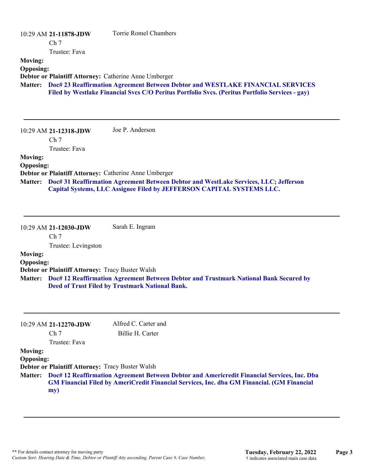|                                    | 10:29 AM 21-11878-JDW<br>Ch <sub>7</sub>                        | <b>Torrie Romel Chambers</b>                                                                                                                                                                                           |
|------------------------------------|-----------------------------------------------------------------|------------------------------------------------------------------------------------------------------------------------------------------------------------------------------------------------------------------------|
|                                    | Trustee: Fava                                                   |                                                                                                                                                                                                                        |
| <b>Moving:</b><br><b>Opposing:</b> |                                                                 |                                                                                                                                                                                                                        |
|                                    |                                                                 | Debtor or Plaintiff Attorney: Catherine Anne Umberger                                                                                                                                                                  |
| <b>Matter:</b>                     |                                                                 | Doc# 23 Reaffirmation Agreement Between Debtor and WESTLAKE FINANCIAL SERVICES<br>Filed by Westlake Financial Svcs C/O Peritus Portfolio Svcs. (Peritus Portfolio Services - gay)                                      |
|                                    | 10:29 AM 21-12318-JDW<br>Ch <sub>7</sub><br>Trustee: Fava       | Joe P. Anderson                                                                                                                                                                                                        |
| <b>Moving:</b><br><b>Opposing:</b> |                                                                 |                                                                                                                                                                                                                        |
| <b>Matter:</b>                     |                                                                 | Debtor or Plaintiff Attorney: Catherine Anne Umberger<br>Doc# 31 Reaffirmation Agreement Between Debtor and WestLake Services, LLC; Jefferson<br>Capital Systems, LLC Assignee Filed by JEFFERSON CAPITAL SYSTEMS LLC. |
|                                    | 10:29 AM 21-12030-JDW<br>Ch <sub>7</sub><br>Trustee: Levingston | Sarah E. Ingram                                                                                                                                                                                                        |
| <b>Moving:</b><br><b>Opposing:</b> |                                                                 |                                                                                                                                                                                                                        |
|                                    |                                                                 | Debtor or Plaintiff Attorney: Tracy Buster Walsh                                                                                                                                                                       |
| <b>Matter:</b>                     |                                                                 | Doc# 12 Reaffirmation Agreement Between Debtor and Trustmark National Bank Secured by<br>Deed of Trust Filed by Trustmark National Bank.                                                                               |
|                                    |                                                                 |                                                                                                                                                                                                                        |

|                  | 10:29 AM 21-12270-JDW                                   | Alfred C. Carter and                                                                                                                                                                                     |
|------------------|---------------------------------------------------------|----------------------------------------------------------------------------------------------------------------------------------------------------------------------------------------------------------|
|                  | Ch <sub>7</sub>                                         | Billie H. Carter                                                                                                                                                                                         |
|                  | Trustee: Fava                                           |                                                                                                                                                                                                          |
| <b>Moving:</b>   |                                                         |                                                                                                                                                                                                          |
| <b>Opposing:</b> |                                                         |                                                                                                                                                                                                          |
|                  | <b>Debtor or Plaintiff Attorney: Tracy Buster Walsh</b> |                                                                                                                                                                                                          |
|                  | my)                                                     | Matter: Doc# 12 Reaffirmation Agreement Between Debtor and Americredit Financial Services, Inc. Dba<br><b>GM Financial Filed by AmeriCredit Financial Services, Inc. dba GM Financial. (GM Financial</b> |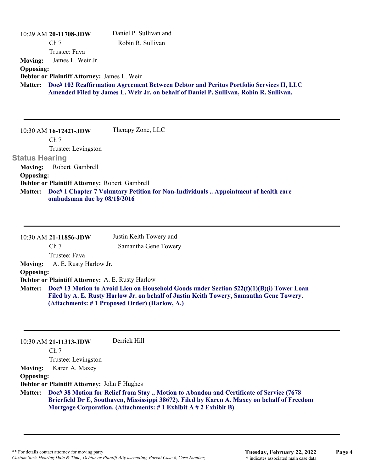|                       | 10:29 AM 20-11708-JDW                         | Daniel P. Sullivan and                                                                                                                                                           |
|-----------------------|-----------------------------------------------|----------------------------------------------------------------------------------------------------------------------------------------------------------------------------------|
|                       | Ch <sub>7</sub>                               | Robin R. Sullivan                                                                                                                                                                |
|                       | Trustee: Fava                                 |                                                                                                                                                                                  |
| <b>Moving:</b>        | James L. Weir Jr.                             |                                                                                                                                                                                  |
| <b>Opposing:</b>      |                                               |                                                                                                                                                                                  |
|                       | Debtor or Plaintiff Attorney: James L. Weir   |                                                                                                                                                                                  |
| <b>Matter:</b>        |                                               | Doc# 102 Reaffirmation Agreement Between Debtor and Peritus Portfolio Services II, LLC<br>Amended Filed by James L. Weir Jr. on behalf of Daniel P. Sullivan, Robin R. Sullivan. |
|                       |                                               |                                                                                                                                                                                  |
|                       |                                               |                                                                                                                                                                                  |
|                       |                                               |                                                                                                                                                                                  |
|                       | 10:30 AM 16-12421-JDW                         | Therapy Zone, LLC                                                                                                                                                                |
|                       |                                               |                                                                                                                                                                                  |
|                       | Ch <sub>7</sub>                               |                                                                                                                                                                                  |
|                       | Trustee: Levingston                           |                                                                                                                                                                                  |
| <b>Status Hearing</b> |                                               |                                                                                                                                                                                  |
| <b>Moving:</b>        | Robert Gambrell                               |                                                                                                                                                                                  |
| <b>Opposing:</b>      |                                               |                                                                                                                                                                                  |
|                       | Debtor or Plaintiff Attorney: Robert Gambrell |                                                                                                                                                                                  |
| <b>Matter:</b>        | ombudsman due by 08/18/2016                   | Doc# 1 Chapter 7 Voluntary Petition for Non-Individuals  Appointment of health care                                                                                              |
|                       |                                               |                                                                                                                                                                                  |

|                  | 10:30 AM 21-11856-JDW                            | Justin Keith Towery and                                                                                                                                                                                                              |
|------------------|--------------------------------------------------|--------------------------------------------------------------------------------------------------------------------------------------------------------------------------------------------------------------------------------------|
|                  | Ch <sub>7</sub>                                  | Samantha Gene Towery                                                                                                                                                                                                                 |
|                  | Trustee: Fava                                    |                                                                                                                                                                                                                                      |
| <b>Moving:</b>   | A. E. Rusty Harlow Jr.                           |                                                                                                                                                                                                                                      |
| <b>Opposing:</b> |                                                  |                                                                                                                                                                                                                                      |
|                  | Debtor or Plaintiff Attorney: A. E. Rusty Harlow |                                                                                                                                                                                                                                      |
| <b>Matter:</b>   |                                                  | Doc# 13 Motion to Avoid Lien on Household Goods under Section 522(f)(1)(B)(i) Tower Loan<br>Filed by A. E. Rusty Harlow Jr. on behalf of Justin Keith Towery, Samantha Gene Towery.<br>(Attachments: #1 Proposed Order) (Harlow, A.) |

|                  | $10:30$ AM 21-11313-JDW                     | Derrick Hill                                                           |                                                                                                                                                                                          |  |
|------------------|---------------------------------------------|------------------------------------------------------------------------|------------------------------------------------------------------------------------------------------------------------------------------------------------------------------------------|--|
|                  | Ch <sub>7</sub>                             |                                                                        |                                                                                                                                                                                          |  |
|                  | Trustee: Levingston                         |                                                                        |                                                                                                                                                                                          |  |
| <b>Moving:</b>   | Karen A. Maxcy                              |                                                                        |                                                                                                                                                                                          |  |
| <b>Opposing:</b> |                                             |                                                                        |                                                                                                                                                                                          |  |
|                  | Debtor or Plaintiff Attorney: John F Hughes |                                                                        |                                                                                                                                                                                          |  |
| <b>Matter:</b>   |                                             |                                                                        | Doc# 38 Motion for Relief from Stay., Motion to Abandon and Certificate of Service (7678<br>Brierfield Dr E, Southaven, Mississippi 38672). Filed by Karen A. Maxcy on behalf of Freedom |  |
|                  |                                             | Mortgage Corporation. (Attachments: $\# 1$ Exhibit A $\# 2$ Exhibit B) |                                                                                                                                                                                          |  |
|                  |                                             |                                                                        |                                                                                                                                                                                          |  |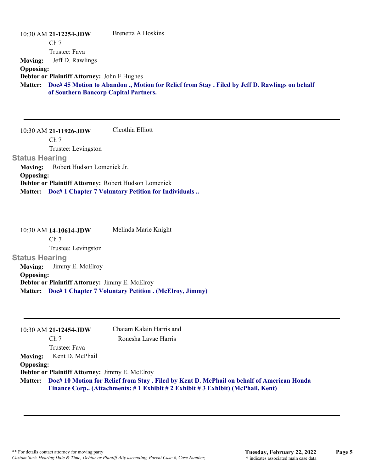|                  | $10:30$ AM 21-12254-JDW                     | Brenetta A Hoskins                                                                             |
|------------------|---------------------------------------------|------------------------------------------------------------------------------------------------|
|                  | Ch <sub>7</sub>                             |                                                                                                |
|                  | Trustee: Fava                               |                                                                                                |
| <b>Moving:</b>   | Jeff D. Rawlings                            |                                                                                                |
| <b>Opposing:</b> |                                             |                                                                                                |
|                  | Debtor or Plaintiff Attorney: John F Hughes |                                                                                                |
| <b>Matter:</b>   | of Southern Bancorp Capital Partners.       | Doc# 45 Motion to Abandon ., Motion for Relief from Stay . Filed by Jeff D. Rawlings on behalf |

10:30 AM **21-11926-JDW**  Ch 7 Trustee: Levingston **Status Hearing**  Cleothia Elliott **Moving:** Robert Hudson Lomenick Jr. **Opposing: Debtor or Plaintiff Attorney:** Robert Hudson Lomenick **Matter: Doc# 1 Chapter 7 Voluntary Petition for Individuals ..**

10:30 AM **14-10614-JDW**  Ch 7 Trustee: Levingston **Status Hearing**  Melinda Marie Knight **Moving:** Jimmy E. McElroy **Opposing: Debtor or Plaintiff Attorney:** Jimmy E. McElroy **Matter: Doc# 1 Chapter 7 Voluntary Petition . (McElroy, Jimmy)**

|                  | 10:30 AM 21-12454-JDW                          | Chaiam Kalain Harris and                                                                           |
|------------------|------------------------------------------------|----------------------------------------------------------------------------------------------------|
|                  | Ch <sub>7</sub>                                | Ronesha Lavae Harris                                                                               |
|                  | Trustee: Fava                                  |                                                                                                    |
|                  | Moving: Kent D. McPhail                        |                                                                                                    |
| <b>Opposing:</b> |                                                |                                                                                                    |
|                  | Debtor or Plaintiff Attorney: Jimmy E. McElroy |                                                                                                    |
|                  |                                                | Matter: Doc# 10 Motion for Relief from Stay . Filed by Kent D. McPhail on behalf of American Honda |
|                  |                                                | Finance Corp (Attachments: # 1 Exhibit # 2 Exhibit # 3 Exhibit) (McPhail, Kent)                    |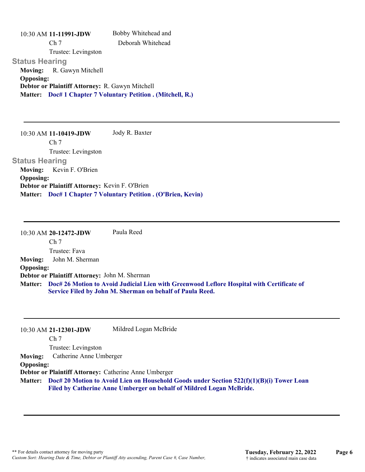10:30 AM **11-11991-JDW**  Ch 7 Trustee: Levingston **Status Hearing**  Bobby Whitehead and Deborah Whitehead **Moving:** R. Gawyn Mitchell **Opposing: Debtor or Plaintiff Attorney:** R. Gawyn Mitchell **Matter: Doc# 1 Chapter 7 Voluntary Petition . (Mitchell, R.)**

10:30 AM **11-10419-JDW**  Ch 7 Trustee: Levingston **Status Hearing**  Jody R. Baxter **Moving:** Kevin F. O'Brien **Opposing: Debtor or Plaintiff Attorney:** Kevin F. O'Brien **Matter: Doc# 1 Chapter 7 Voluntary Petition . (O'Brien, Kevin)**

10:30 AM **20-12472-JDW**  Ch 7 Trustee: Fava Paula Reed **Moving:** John M. Sherman **Opposing: Debtor or Plaintiff Attorney:** John M. Sherman **Doc# 26 Motion to Avoid Judicial Lien with Greenwood Leflore Hospital with Certificate of Matter: Service Filed by John M. Sherman on behalf of Paula Reed.**

|                  | 10:30 AM 21-12301-JDW   | Mildred Logan McBride                                                                                                                                                    |
|------------------|-------------------------|--------------------------------------------------------------------------------------------------------------------------------------------------------------------------|
|                  | Ch <sub>7</sub>         |                                                                                                                                                                          |
|                  | Trustee: Levingston     |                                                                                                                                                                          |
| <b>Moving:</b>   | Catherine Anne Umberger |                                                                                                                                                                          |
| <b>Opposing:</b> |                         |                                                                                                                                                                          |
|                  |                         | Debtor or Plaintiff Attorney: Catherine Anne Umberger                                                                                                                    |
|                  |                         | Matter: Doc# 20 Motion to Avoid Lien on Household Goods under Section 522(f)(1)(B)(i) Tower Loan<br>Filed by Catherine Anne Umberger on behalf of Mildred Logan McBride. |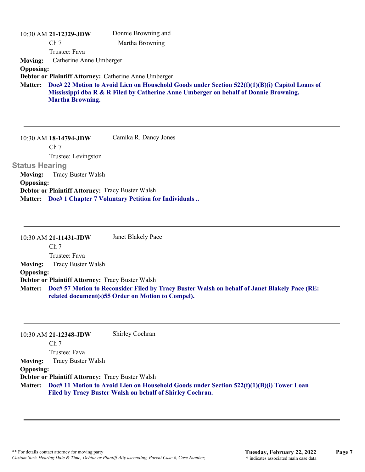|                  | 10:30 AM 21-12329-JDW   | Donnie Browning and                                                                                                                                                                    |
|------------------|-------------------------|----------------------------------------------------------------------------------------------------------------------------------------------------------------------------------------|
|                  | Ch <sub>7</sub>         | Martha Browning                                                                                                                                                                        |
|                  | Trustee: Fava           |                                                                                                                                                                                        |
| <b>Moving:</b>   | Catherine Anne Umberger |                                                                                                                                                                                        |
| <b>Opposing:</b> |                         |                                                                                                                                                                                        |
|                  |                         | Debtor or Plaintiff Attorney: Catherine Anne Umberger                                                                                                                                  |
| <b>Matter:</b>   | <b>Martha Browning.</b> | Doc# 22 Motion to Avoid Lien on Household Goods under Section 522(f)(1)(B)(i) Capitol Loans of<br>Mississippi dba R & R Filed by Catherine Anne Umberger on behalf of Donnie Browning, |

10:30 AM **18-14794-JDW**  Ch 7 Trustee: Levingston **Status Hearing**  Camika R. Dancy Jones **Moving:** Tracy Buster Walsh **Opposing: Debtor or Plaintiff Attorney:** Tracy Buster Walsh

**Matter: Doc# 1 Chapter 7 Voluntary Petition for Individuals ..**

10:30 AM **21-11431-JDW**  Ch 7 Trustee: Fava Janet Blakely Pace **Moving:** Tracy Buster Walsh **Opposing: Debtor or Plaintiff Attorney:** Tracy Buster Walsh **Doc# 57 Motion to Reconsider Filed by Tracy Buster Walsh on behalf of Janet Blakely Pace (RE: Matter: related document(s)55 Order on Motion to Compel).**

|                  | 10:30 AM 21-12348-JDW                                   | Shirley Cochran                                                                                  |
|------------------|---------------------------------------------------------|--------------------------------------------------------------------------------------------------|
|                  | Ch <sub>7</sub>                                         |                                                                                                  |
|                  | Trustee: Fava                                           |                                                                                                  |
| <b>Moving:</b>   | Tracy Buster Walsh                                      |                                                                                                  |
| <b>Opposing:</b> |                                                         |                                                                                                  |
|                  | <b>Debtor or Plaintiff Attorney: Tracy Buster Walsh</b> |                                                                                                  |
|                  |                                                         | Matter: Doc# 11 Motion to Avoid Lien on Household Goods under Section 522(f)(1)(B)(i) Tower Loan |
|                  |                                                         | Filed by Tracy Buster Walsh on behalf of Shirley Cochran.                                        |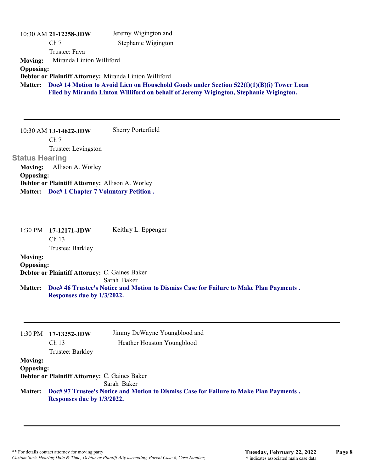|                  | 10:30 AM 21-12258-JDW    | Jeremy Wigington and                                                                       |
|------------------|--------------------------|--------------------------------------------------------------------------------------------|
|                  | Ch <sub>7</sub>          | Stephanie Wigington                                                                        |
|                  | Trustee: Fava            |                                                                                            |
| <b>Moving:</b>   | Miranda Linton Williford |                                                                                            |
| <b>Opposing:</b> |                          |                                                                                            |
|                  |                          | Debtor or Plaintiff Attorney: Miranda Linton Williford                                     |
| <b>Matter:</b>   |                          | Doc# 14 Motion to Avoid Lien on Household Goods under Section $522(f)(1)(B)(i)$ Tower Loan |
|                  |                          | Filed by Miranda Linton Williford on behalf of Jeremy Wigington, Stephanie Wigington.      |
|                  |                          |                                                                                            |

10:30 AM **13-14622-JDW**  Ch 7 Trustee: Levingston **Status Hearing**  Sherry Porterfield **Moving:** Allison A. Worley **Opposing: Debtor or Plaintiff Attorney:** Allison A. Worley **Matter: Doc# 1 Chapter 7 Voluntary Petition .**

1:30 PM **17-12171-JDW**  Ch 13 Trustee: Barkley Keithry L. Eppenger **Moving: Opposing: Debtor or Plaintiff Attorney:** C. Gaines Baker Sarah Baker **Doc# 46 Trustee's Notice and Motion to Dismiss Case for Failure to Make Plan Payments . Matter: Responses due by 1/3/2022.**

| 1:30 PM          | 17-13252-JDW<br>Ch <sub>13</sub><br>Trustee: Barkley | Jimmy DeWayne Youngblood and<br>Heather Houston Youngblood                                     |
|------------------|------------------------------------------------------|------------------------------------------------------------------------------------------------|
| <b>Moving:</b>   |                                                      |                                                                                                |
| <b>Opposing:</b> |                                                      |                                                                                                |
|                  | <b>Debtor or Plaintiff Attorney: C. Gaines Baker</b> |                                                                                                |
|                  |                                                      | Sarah Baker                                                                                    |
|                  | Responses due by 1/3/2022.                           | Matter: Doc# 97 Trustee's Notice and Motion to Dismiss Case for Failure to Make Plan Payments. |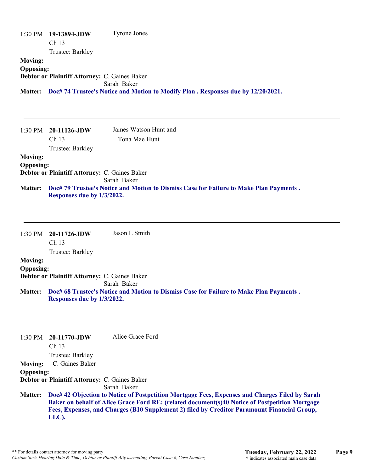|                  | $1:30 \text{ PM}$ 19-13894-JDW                       | <b>Tyrone Jones</b>                                                                      |
|------------------|------------------------------------------------------|------------------------------------------------------------------------------------------|
|                  | Ch <sub>13</sub>                                     |                                                                                          |
|                  | Trustee: Barkley                                     |                                                                                          |
| <b>Moving:</b>   |                                                      |                                                                                          |
| <b>Opposing:</b> |                                                      |                                                                                          |
|                  | <b>Debtor or Plaintiff Attorney: C. Gaines Baker</b> |                                                                                          |
|                  |                                                      | Sarah Baker                                                                              |
|                  |                                                      | Matter: Doc# 74 Trustee's Notice and Motion to Modify Plan. Responses due by 12/20/2021. |

| 1:30 PM          | $-20-11126$ -JDW                              | James Watson Hunt and                                                                  |
|------------------|-----------------------------------------------|----------------------------------------------------------------------------------------|
|                  | Ch <sub>13</sub>                              | Tona Mae Hunt                                                                          |
|                  | Trustee: Barkley                              |                                                                                        |
| <b>Moving:</b>   |                                               |                                                                                        |
| <b>Opposing:</b> |                                               |                                                                                        |
|                  | Debtor or Plaintiff Attorney: C. Gaines Baker |                                                                                        |
|                  |                                               | Sarah Baker                                                                            |
| <b>Matter:</b>   |                                               | Doc# 79 Trustee's Notice and Motion to Dismiss Case for Failure to Make Plan Payments. |
|                  | Responses due by 1/3/2022.                    |                                                                                        |

|                  | $1:30 \text{ PM}$ 20-11726-JDW                | Jason L Smith                                                                          |
|------------------|-----------------------------------------------|----------------------------------------------------------------------------------------|
|                  | Ch <sub>13</sub>                              |                                                                                        |
|                  | Trustee: Barkley                              |                                                                                        |
| <b>Moving:</b>   |                                               |                                                                                        |
| <b>Opposing:</b> |                                               |                                                                                        |
|                  | Debtor or Plaintiff Attorney: C. Gaines Baker |                                                                                        |
|                  |                                               | Sarah Baker                                                                            |
| <b>Matter:</b>   |                                               | Doc# 68 Trustee's Notice and Motion to Dismiss Case for Failure to Make Plan Payments. |
|                  | Responses due by 1/3/2022.                    |                                                                                        |

|                  | $1:30 \text{ PM}$ 20-11770-JDW                       | Alice Grace Ford                                                                               |
|------------------|------------------------------------------------------|------------------------------------------------------------------------------------------------|
|                  | Ch <sub>13</sub>                                     |                                                                                                |
|                  | Trustee: Barkley                                     |                                                                                                |
| <b>Moving:</b>   | C. Gaines Baker                                      |                                                                                                |
| <b>Opposing:</b> |                                                      |                                                                                                |
|                  | <b>Debtor or Plaintiff Attorney: C. Gaines Baker</b> |                                                                                                |
|                  |                                                      | Sarah Baker                                                                                    |
| <b>Matter:</b>   |                                                      | Doc# 42 Objection to Notice of Postpetition Mortgage Fees, Expenses and Charges Filed by Sarah |
|                  |                                                      | Baker on behalf of Alice Grace Ford RE: (related document(s)40 Notice of Postpetition Mortgage |
|                  |                                                      | Fees, Expenses, and Charges (B10 Supplement 2) filed by Creditor Paramount Financial Group,    |
|                  | LLC).                                                |                                                                                                |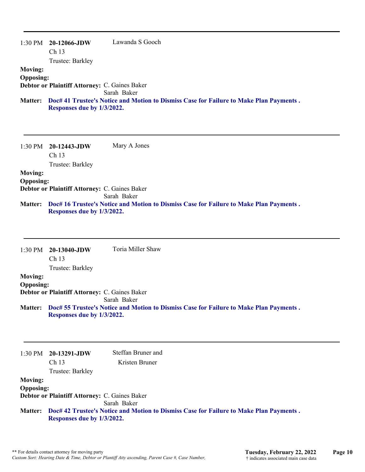| $1:30$ PM        | 20-12066-JDW                                         | Lawanda S Gooch                                                                        |
|------------------|------------------------------------------------------|----------------------------------------------------------------------------------------|
|                  | Ch <sub>13</sub>                                     |                                                                                        |
|                  | Trustee: Barkley                                     |                                                                                        |
| <b>Moving:</b>   |                                                      |                                                                                        |
| <b>Opposing:</b> |                                                      |                                                                                        |
|                  | <b>Debtor or Plaintiff Attorney: C. Gaines Baker</b> |                                                                                        |
|                  |                                                      | Sarah Baker                                                                            |
| <b>Matter:</b>   | Responses due by 1/3/2022.                           | Doc# 41 Trustee's Notice and Motion to Dismiss Case for Failure to Make Plan Payments. |

1:30 PM **20-12443-JDW**  Ch 13 Trustee: Barkley Mary A Jones **Moving: Opposing: Debtor or Plaintiff Attorney:** C. Gaines Baker Sarah Baker **Doc# 16 Trustee's Notice and Motion to Dismiss Case for Failure to Make Plan Payments . Matter: Responses due by 1/3/2022.**

| Doc# 55 Trustee's Notice and Motion to Dismiss Case for Failure to Make Plan Payments. |
|----------------------------------------------------------------------------------------|
|                                                                                        |
|                                                                                        |
|                                                                                        |
|                                                                                        |

|                  | $1:30 \text{ PM}$ 20-13291-JDW                       | Steffan Bruner and                                                                     |
|------------------|------------------------------------------------------|----------------------------------------------------------------------------------------|
|                  | Ch 13                                                | Kristen Bruner                                                                         |
|                  | Trustee: Barkley                                     |                                                                                        |
| <b>Moving:</b>   |                                                      |                                                                                        |
| <b>Opposing:</b> |                                                      |                                                                                        |
|                  | <b>Debtor or Plaintiff Attorney: C. Gaines Baker</b> |                                                                                        |
|                  |                                                      | Sarah Baker                                                                            |
| <b>Matter:</b>   |                                                      | Doc# 42 Trustee's Notice and Motion to Dismiss Case for Failure to Make Plan Payments. |
|                  | Responses due by 1/3/2022.                           |                                                                                        |
|                  |                                                      |                                                                                        |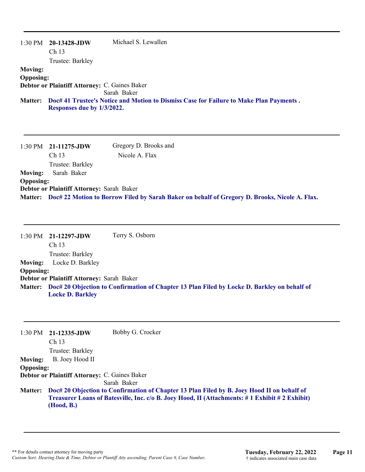| 1:30 PM          | 20-13428-JDW                                         | Michael S. Lewallen                                                                    |
|------------------|------------------------------------------------------|----------------------------------------------------------------------------------------|
|                  | Ch <sub>13</sub>                                     |                                                                                        |
|                  | Trustee: Barkley                                     |                                                                                        |
| <b>Moving:</b>   |                                                      |                                                                                        |
| <b>Opposing:</b> |                                                      |                                                                                        |
|                  | <b>Debtor or Plaintiff Attorney: C. Gaines Baker</b> |                                                                                        |
|                  |                                                      | Sarah Baker                                                                            |
| <b>Matter:</b>   |                                                      | Doc# 41 Trustee's Notice and Motion to Dismiss Case for Failure to Make Plan Payments. |
|                  | Responses due by 1/3/2022.                           |                                                                                        |

|                  | $1:30 \text{ PM}$ 21-11275-JDW            | Gregory D. Brooks and                                                                                 |
|------------------|-------------------------------------------|-------------------------------------------------------------------------------------------------------|
|                  | Ch <sub>13</sub>                          | Nicole A. Flax                                                                                        |
|                  | Trustee: Barkley                          |                                                                                                       |
| <b>Moving:</b>   | Sarah Baker                               |                                                                                                       |
| <b>Opposing:</b> |                                           |                                                                                                       |
|                  | Debtor or Plaintiff Attorney: Sarah Baker |                                                                                                       |
|                  |                                           | Matter: Doc# 22 Motion to Borrow Filed by Sarah Baker on behalf of Gregory D. Brooks, Nicole A. Flax. |

1:30 PM **21-12297-JDW**  Ch 13 Trustee: Barkley Terry S. Osborn **Moving:** Locke D. Barkley **Opposing: Debtor or Plaintiff Attorney:** Sarah Baker **Doc# 20 Objection to Confirmation of Chapter 13 Plan Filed by Locke D. Barkley on behalf of Matter: Locke D. Barkley**

|                  | $1:30$ PM $21-12335$ -JDW<br>Ch <sub>13</sub> | Bobby G. Crocker                                                                                                                                                                            |
|------------------|-----------------------------------------------|---------------------------------------------------------------------------------------------------------------------------------------------------------------------------------------------|
|                  | Trustee: Barkley                              |                                                                                                                                                                                             |
| <b>Moving:</b>   | B. Joey Hood II                               |                                                                                                                                                                                             |
| <b>Opposing:</b> |                                               |                                                                                                                                                                                             |
|                  | Debtor or Plaintiff Attorney: C. Gaines Baker |                                                                                                                                                                                             |
|                  |                                               | Sarah Baker                                                                                                                                                                                 |
| <b>Matter:</b>   | (Hood, B.)                                    | Doc# 20 Objection to Confirmation of Chapter 13 Plan Filed by B. Joey Hood II on behalf of<br>Treasurer Loans of Batesville, Inc. c/o B. Joey Hood, II (Attachments: #1 Exhibit #2 Exhibit) |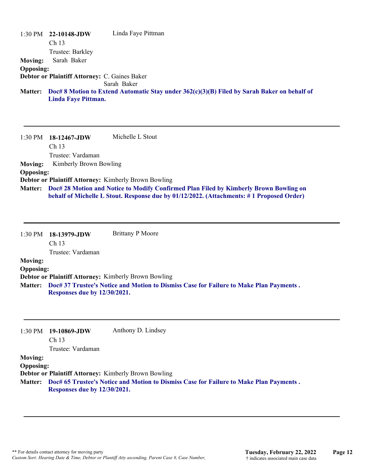|                  | $1:30 \text{ PM}$ 22-10148-JDW<br>Ch <sub>13</sub> | Linda Faye Pittman                                                                            |
|------------------|----------------------------------------------------|-----------------------------------------------------------------------------------------------|
|                  | Trustee: Barkley                                   |                                                                                               |
| <b>Moving:</b>   | Sarah Baker                                        |                                                                                               |
| <b>Opposing:</b> |                                                    |                                                                                               |
|                  | Debtor or Plaintiff Attorney: C. Gaines Baker      |                                                                                               |
|                  |                                                    | Sarah Baker                                                                                   |
| <b>Matter:</b>   | Linda Faye Pittman.                                | Doc# 8 Motion to Extend Automatic Stay under $362(c)(3)(B)$ Filed by Sarah Baker on behalf of |
| $1.20$ DM        | 10 12467 IDW                                       | Michelle L. Stout.                                                                            |

1:30 PM **18-12467-JDW**  Ch 13 Trustee: Vardaman Michelle L Stout **Moving:** Kimberly Brown Bowling **Opposing: Debtor or Plaintiff Attorney:** Kimberly Brown Bowling **Doc# 28 Motion and Notice to Modify Confirmed Plan Filed by Kimberly Brown Bowling on Matter: behalf of Michelle L Stout. Response due by 01/12/2022. (Attachments: # 1 Proposed Order)**

1:30 PM **18-13979-JDW**  Ch 13 Trustee: Vardaman Brittany P Moore **Moving: Opposing: Debtor or Plaintiff Attorney:** Kimberly Brown Bowling **Doc# 37 Trustee's Notice and Motion to Dismiss Case for Failure to Make Plan Payments . Matter: Responses due by 12/30/2021.**

|                   | Anthony D. Lindsey                                                                     |
|-------------------|----------------------------------------------------------------------------------------|
| Ch <sub>13</sub>  |                                                                                        |
| Trustee: Vardaman |                                                                                        |
|                   |                                                                                        |
|                   |                                                                                        |
|                   | <b>Debtor or Plaintiff Attorney: Kimberly Brown Bowling</b>                            |
|                   | Doc# 65 Trustee's Notice and Motion to Dismiss Case for Failure to Make Plan Payments. |
|                   | 19-10869-JDW<br><b>Opposing:</b><br>Responses due by 12/30/2021.                       |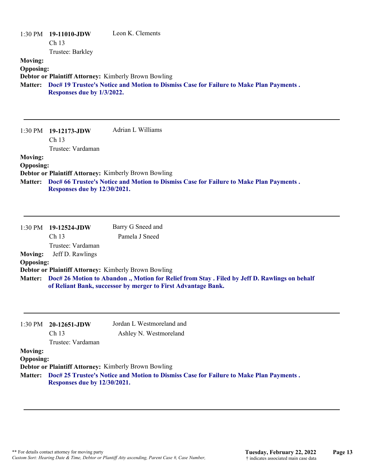| <b>Moving:</b><br><b>Opposing:</b>                   | 1:30 PM 19-11010-JDW<br>Ch <sub>13</sub><br>Trustee: Barkley<br>Responses due by 1/3/2022. | Leon K. Clements<br><b>Debtor or Plaintiff Attorney: Kimberly Brown Bowling</b><br>Matter: Doc# 19 Trustee's Notice and Motion to Dismiss Case for Failure to Make Plan Payments. |
|------------------------------------------------------|--------------------------------------------------------------------------------------------|-----------------------------------------------------------------------------------------------------------------------------------------------------------------------------------|
|                                                      |                                                                                            |                                                                                                                                                                                   |
| $1:30$ PM                                            | 19-12173-JDW<br>Ch 13<br>Trustee: Vardaman                                                 | Adrian L Williams                                                                                                                                                                 |
| <b>Moving:</b><br><b>Opposing:</b>                   | Responses due by 12/30/2021.                                                               | <b>Debtor or Plaintiff Attorney: Kimberly Brown Bowling</b><br>Matter: Doc# 66 Trustee's Notice and Motion to Dismiss Case for Failure to Make Plan Payments.                     |
| 1:30 PM<br><b>Moving:</b>                            | 19-12524-JDW<br>Ch <sub>13</sub><br>Trustee: Vardaman<br>Jeff D. Rawlings                  | Barry G Sneed and<br>Pamela J Sneed                                                                                                                                               |
| <b>Opposing:</b>                                     |                                                                                            | Debtor or Plaintiff Attorney: Kimberly Brown Bowling                                                                                                                              |
|                                                      |                                                                                            | Matter: Doc# 26 Motion to Abandon ., Motion for Relief from Stay . Filed by Jeff D. Rawlings on behalf<br>of Reliant Bank, successor by merger to First Advantage Bank.           |
| $1:30$ PM                                            | 20-12651-JDW<br>Ch <sub>13</sub><br>Trustee: Vardaman                                      | Jordan L Westmoreland and<br>Ashley N. Westmoreland                                                                                                                               |
| <b>Moving:</b><br><b>Opposing:</b><br><b>Matter:</b> | Responses due by 12/30/2021.                                                               | Debtor or Plaintiff Attorney: Kimberly Brown Bowling<br>Doc# 25 Trustee's Notice and Motion to Dismiss Case for Failure to Make Plan Payments.                                    |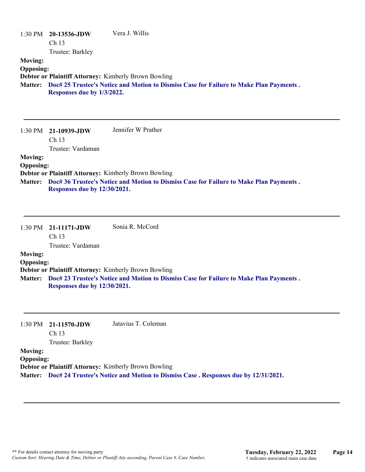| <b>Moving:</b><br><b>Opposing:</b> | 1:30 PM 20-13536-JDW<br>Ch 13<br>Trustee: Barkley             | Vera J. Willis                                                                         |
|------------------------------------|---------------------------------------------------------------|----------------------------------------------------------------------------------------|
| <b>Matter:</b>                     | Debtor or Plaintiff Attorney: Kimberly Brown Bowling          | Doc# 25 Trustee's Notice and Motion to Dismiss Case for Failure to Make Plan Payments. |
|                                    | Responses due by 1/3/2022.                                    |                                                                                        |
|                                    | 1:30 PM 21-10939-JDW                                          | Jennifer W Prather                                                                     |
|                                    | Ch <sub>13</sub><br>Trustee: Vardaman                         |                                                                                        |
| <b>Moving:</b><br><b>Opposing:</b> |                                                               |                                                                                        |
|                                    | Debtor or Plaintiff Attorney: Kimberly Brown Bowling          |                                                                                        |
| <b>Matter:</b>                     | Responses due by 12/30/2021.                                  | Doc# 36 Trustee's Notice and Motion to Dismiss Case for Failure to Make Plan Payments. |
|                                    | 1:30 PM 21-11171-JDW<br>Ch <sub>13</sub><br>Trustee: Vardaman | Sonia R. McCord                                                                        |
| <b>Moving:</b><br><b>Opposing:</b> |                                                               |                                                                                        |
|                                    | Debtor or Plaintiff Attorney: Kimberly Brown Bowling          |                                                                                        |
| Matter:                            | Responses due by 12/30/2021.                                  | Doc# 23 Trustee's Notice and Motion to Dismiss Case for Failure to Make Plan Payments. |
|                                    |                                                               |                                                                                        |

#### 1:30 PM **21-11570-JDW**  Jatavius T. Coleman

Ch 13 Trustee: Barkley

## **Moving: Opposing:**

**Debtor or Plaintiff Attorney:** Kimberly Brown Bowling

**Matter: Doc# 24 Trustee's Notice and Motion to Dismiss Case . Responses due by 12/31/2021.**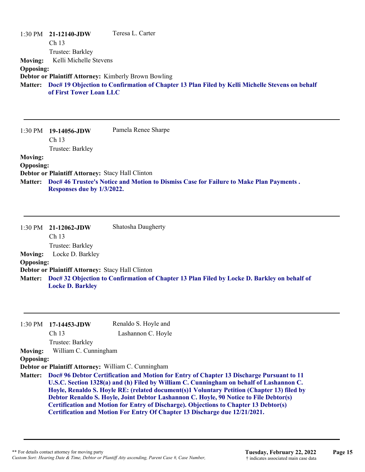|                  | $1:30 \text{ PM}$ 21-12140-JDW                              | Teresa L. Carter                                                                                       |
|------------------|-------------------------------------------------------------|--------------------------------------------------------------------------------------------------------|
|                  | Ch <sub>13</sub>                                            |                                                                                                        |
|                  | Trustee: Barkley                                            |                                                                                                        |
| <b>Moving:</b>   | Kelli Michelle Stevens                                      |                                                                                                        |
| <b>Opposing:</b> |                                                             |                                                                                                        |
|                  | <b>Debtor or Plaintiff Attorney: Kimberly Brown Bowling</b> |                                                                                                        |
|                  | of First Tower Loan LLC                                     | Matter: Doc# 19 Objection to Confirmation of Chapter 13 Plan Filed by Kelli Michelle Stevens on behalf |

|                  | $1:30 \text{ PM}$ 19-14056-JDW                   | Pamela Renee Sharpe                                                                    |
|------------------|--------------------------------------------------|----------------------------------------------------------------------------------------|
|                  | Ch <sub>13</sub>                                 |                                                                                        |
|                  | Trustee: Barkley                                 |                                                                                        |
| <b>Moving:</b>   |                                                  |                                                                                        |
| <b>Opposing:</b> |                                                  |                                                                                        |
|                  | Debtor or Plaintiff Attorney: Stacy Hall Clinton |                                                                                        |
| <b>Matter:</b>   |                                                  | Doc# 46 Trustee's Notice and Motion to Dismiss Case for Failure to Make Plan Payments. |
|                  | Responses due by 1/3/2022.                       |                                                                                        |

| Shatosha Daugherty<br>$1:30 \text{ PM}$ 21-12062-JDW<br>Ch <sub>13</sub><br>Trustee: Barkley<br>Locke D. Barkley<br><b>Moving:</b><br><b>Opposing:</b><br>Debtor or Plaintiff Attorney: Stacy Hall Clinton<br>Matter: Doc# 32 Objection to Confirmation of Chapter 13 Plan Filed by Locke D. Barkley on behalf of |  |
|-------------------------------------------------------------------------------------------------------------------------------------------------------------------------------------------------------------------------------------------------------------------------------------------------------------------|--|
|                                                                                                                                                                                                                                                                                                                   |  |
|                                                                                                                                                                                                                                                                                                                   |  |
|                                                                                                                                                                                                                                                                                                                   |  |
|                                                                                                                                                                                                                                                                                                                   |  |
|                                                                                                                                                                                                                                                                                                                   |  |
|                                                                                                                                                                                                                                                                                                                   |  |
| <b>Locke D. Barkley</b>                                                                                                                                                                                                                                                                                           |  |

|                  | $1:30 \text{ PM}$ 17-14453-JDW | Renaldo S. Hoyle and                                                                                                                                                                                                                                                                                                                                                                                                                                                                                                                                    |
|------------------|--------------------------------|---------------------------------------------------------------------------------------------------------------------------------------------------------------------------------------------------------------------------------------------------------------------------------------------------------------------------------------------------------------------------------------------------------------------------------------------------------------------------------------------------------------------------------------------------------|
|                  | Ch <sub>13</sub>               | Lashannon C. Hoyle                                                                                                                                                                                                                                                                                                                                                                                                                                                                                                                                      |
|                  | Trustee: Barkley               |                                                                                                                                                                                                                                                                                                                                                                                                                                                                                                                                                         |
| <b>Moving:</b>   | William C. Cunningham          |                                                                                                                                                                                                                                                                                                                                                                                                                                                                                                                                                         |
| <b>Opposing:</b> |                                |                                                                                                                                                                                                                                                                                                                                                                                                                                                                                                                                                         |
|                  |                                | Debtor or Plaintiff Attorney: William C. Cunningham                                                                                                                                                                                                                                                                                                                                                                                                                                                                                                     |
| <b>Matter:</b>   |                                | Doc# 96 Debtor Certification and Motion for Entry of Chapter 13 Discharge Pursuant to 11<br>U.S.C. Section 1328(a) and (h) Filed by William C. Cunningham on behalf of Lashannon C.<br>Hoyle, Renaldo S. Hoyle RE: (related document(s)1 Voluntary Petition (Chapter 13) filed by<br>Debtor Renaldo S. Hoyle, Joint Debtor Lashannon C. Hoyle, 90 Notice to File Debtor(s)<br><b>Certification and Motion for Entry of Discharge). Objections to Chapter 13 Debtor(s)</b><br>Certification and Motion For Entry Of Chapter 13 Discharge due 12/21/2021. |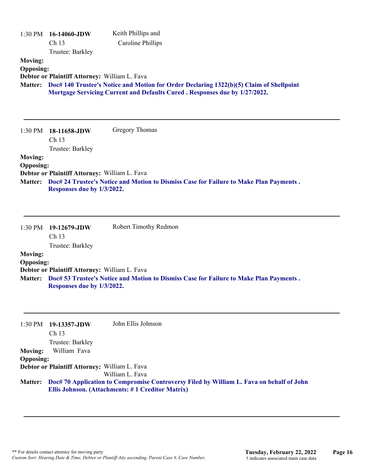| 1:30 PM                                              | 16-14060-JDW<br>Ch 13<br>Trustee: Barkley            | Keith Phillips and<br><b>Caroline Phillips</b>                                                                                                                        |
|------------------------------------------------------|------------------------------------------------------|-----------------------------------------------------------------------------------------------------------------------------------------------------------------------|
| <b>Moving:</b><br><b>Opposing:</b><br><b>Matter:</b> | Debtor or Plaintiff Attorney: William L. Fava        | Doc# 140 Trustee's Notice and Motion for Order Declaring 1322(b)(5) Claim of Shellpoint<br>Mortgage Servicing Current and Defaults Cured. Responses due by 1/27/2022. |
| 1:30 PM                                              | 18-11658-JDW<br>Ch <sub>13</sub><br>Trustee: Barkley | <b>Gregory Thomas</b>                                                                                                                                                 |
| <b>Moving:</b>                                       |                                                      |                                                                                                                                                                       |
| <b>Opposing:</b>                                     | Debtor or Plaintiff Attorney: William L. Fava        |                                                                                                                                                                       |
| <b>Matter:</b>                                       | Responses due by 1/3/2022.                           | Doc# 24 Trustee's Notice and Motion to Dismiss Case for Failure to Make Plan Payments.                                                                                |
| 1:30 PM                                              | 19-12679-JDW<br>Ch 13                                | Robert Timothy Redmon                                                                                                                                                 |
| <b>Moving:</b>                                       | Trustee: Barkley                                     |                                                                                                                                                                       |
| <b>Opposing:</b>                                     |                                                      |                                                                                                                                                                       |
|                                                      | Debtor or Plaintiff Attorney: William L. Fava        |                                                                                                                                                                       |
| <b>Matter:</b>                                       | Responses due by 1/3/2022.                           | Doc# 53 Trustee's Notice and Motion to Dismiss Case for Failure to Make Plan Payments.                                                                                |
| 1:30 PM                                              | 19-13357-JDW<br>Ch <sub>13</sub>                     | John Ellis Johnson                                                                                                                                                    |
| <b>Moving:</b>                                       | Trustee: Barkley<br>William Fava                     |                                                                                                                                                                       |
| <b>Opposing:</b>                                     |                                                      |                                                                                                                                                                       |
|                                                      | Debtor or Plaintiff Attorney: William L. Fava        |                                                                                                                                                                       |
|                                                      |                                                      | William L. Fava                                                                                                                                                       |
| <b>Matter:</b>                                       |                                                      | Doc# 70 Application to Compromise Controversy Filed by William L. Fava on behalf of John<br>Ellis Johnson. (Attachments: #1 Creditor Matrix)                          |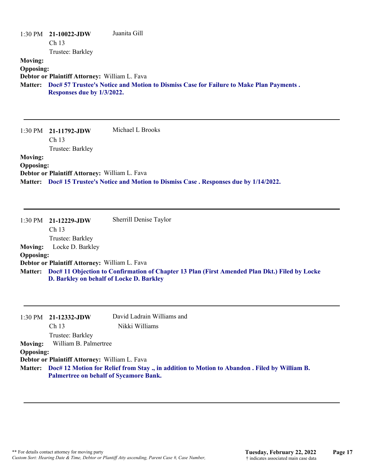|                  | $1:30$ PM $21-10022$ -JDW                     | Juanita Gill                                                                           |
|------------------|-----------------------------------------------|----------------------------------------------------------------------------------------|
|                  | Ch <sub>13</sub>                              |                                                                                        |
|                  | Trustee: Barkley                              |                                                                                        |
| <b>Moving:</b>   |                                               |                                                                                        |
| <b>Opposing:</b> |                                               |                                                                                        |
|                  | Debtor or Plaintiff Attorney: William L. Fava |                                                                                        |
| <b>Matter:</b>   |                                               | Doc# 57 Trustee's Notice and Motion to Dismiss Case for Failure to Make Plan Payments. |
|                  | Responses due by 1/3/2022.                    |                                                                                        |

1:30 PM **21-11792-JDW**  Ch 13 Trustee: Barkley Michael L Brooks **Moving: Opposing: Debtor or Plaintiff Attorney:** William L. Fava **Matter: Doc# 15 Trustee's Notice and Motion to Dismiss Case . Responses due by 1/14/2022.**

|                  | 1:30 PM 21-12229-JDW                          | Sherrill Denise Taylor                                                                                |
|------------------|-----------------------------------------------|-------------------------------------------------------------------------------------------------------|
|                  | Ch 13                                         |                                                                                                       |
|                  | Trustee: Barkley                              |                                                                                                       |
| <b>Moving:</b>   | Locke D. Barkley                              |                                                                                                       |
| <b>Opposing:</b> |                                               |                                                                                                       |
|                  | Debtor or Plaintiff Attorney: William L. Fava |                                                                                                       |
|                  |                                               | Matter: Doc# 11 Objection to Confirmation of Chapter 13 Plan (First Amended Plan Dkt.) Filed by Locke |
|                  | D. Barkley on behalf of Locke D. Barkley      |                                                                                                       |

|                  | $1:30$ PM $21-12332$ -JDW                     | David Ladrain Williams and                                                                            |
|------------------|-----------------------------------------------|-------------------------------------------------------------------------------------------------------|
|                  | Ch <sub>13</sub>                              | Nikki Williams                                                                                        |
|                  | Trustee: Barkley                              |                                                                                                       |
| Moving:          | William B. Palmertree                         |                                                                                                       |
| <b>Opposing:</b> |                                               |                                                                                                       |
|                  | Debtor or Plaintiff Attorney: William L. Fava |                                                                                                       |
|                  |                                               | Matter: Doc# 12 Motion for Relief from Stay ., in addition to Motion to Abandon . Filed by William B. |
|                  | <b>Palmertree on behalf of Sycamore Bank.</b> |                                                                                                       |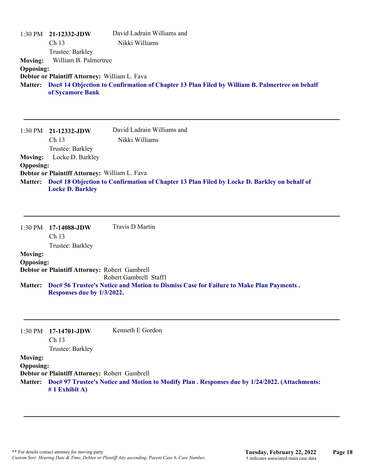|                                                      | 1:30 PM 21-12332-JDW<br>Ch <sub>13</sub>                                                                       | David Ladrain Williams and<br>Nikki Williams                                                  |
|------------------------------------------------------|----------------------------------------------------------------------------------------------------------------|-----------------------------------------------------------------------------------------------|
| <b>Moving:</b><br><b>Opposing:</b><br><b>Matter:</b> | Trustee: Barkley<br>William B. Palmertree<br>Debtor or Plaintiff Attorney: William L. Fava<br>of Sycamore Bank | Doc# 14 Objection to Confirmation of Chapter 13 Plan Filed by William B. Palmertree on behalf |
|                                                      |                                                                                                                |                                                                                               |
| $1:30$ PM                                            | 21-12332-JDW<br>Ch <sub>13</sub><br>Trustee: Barkley                                                           | David Ladrain Williams and<br>Nikki Williams                                                  |
| <b>Moving:</b><br><b>Opposing:</b>                   | Locke D. Barkley<br>Debtor or Plaintiff Attorney: William L. Fava                                              |                                                                                               |
| <b>Matter:</b>                                       | <b>Locke D. Barkley</b>                                                                                        | Doc# 18 Objection to Confirmation of Chapter 13 Plan Filed by Locke D. Barkley on behalf of   |
|                                                      | 1:30 PM 17-14088-JDW<br>Ch 13                                                                                  | <b>Travis D Martin</b>                                                                        |
| <b>Moving:</b><br><b>Opposing:</b>                   | Trustee: Barkley<br>Debtor or Plaintiff Attorney: Robert Gambrell                                              |                                                                                               |
|                                                      |                                                                                                                | Robert Gambrell Staff1                                                                        |

**Doc# 56 Trustee's Notice and Motion to Dismiss Case for Failure to Make Plan Payments . Matter: Responses due by 1/3/2022.**

|                  | $1:30 \text{ PM}$ 17-14701-JDW<br>Ch <sub>13</sub> | Kenneth E Gordon                                                                                       |
|------------------|----------------------------------------------------|--------------------------------------------------------------------------------------------------------|
|                  | Trustee: Barkley                                   |                                                                                                        |
| <b>Moving:</b>   |                                                    |                                                                                                        |
| <b>Opposing:</b> |                                                    |                                                                                                        |
|                  | Debtor or Plaintiff Attorney: Robert Gambrell      |                                                                                                        |
|                  | $# 1$ Exhibit A)                                   | Matter: Doc# 97 Trustee's Notice and Motion to Modify Plan . Responses due by 1/24/2022. (Attachments: |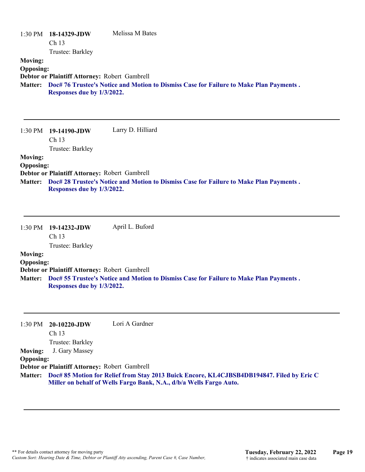|                                                      | 1:30 PM 18-14329-JDW<br>Ch <sub>13</sub>                                                                                              | Melissa M Bates                                                                        |
|------------------------------------------------------|---------------------------------------------------------------------------------------------------------------------------------------|----------------------------------------------------------------------------------------|
| <b>Moving:</b><br><b>Opposing:</b><br><b>Matter:</b> | Trustee: Barkley<br>Debtor or Plaintiff Attorney: Robert Gambrell<br>Responses due by 1/3/2022.                                       | Doc# 76 Trustee's Notice and Motion to Dismiss Case for Failure to Make Plan Payments. |
|                                                      | 1:30 PM 19-14190-JDW<br>Ch <sub>13</sub><br>Trustee: Barkley                                                                          | Larry D. Hilliard                                                                      |
| <b>Moving:</b><br><b>Opposing:</b>                   | $\mathbf{D}$ . Let $\mathbf{D}$ and $\mathbf{D}$ and $\mathbf{D}$ and $\mathbf{D}$ and $\mathbf{D}$ and $\mathbf{D}$ and $\mathbf{D}$ |                                                                                        |

**Debtor or Plaintiff Attorney:** Robert Gambrell **Doc# 28 Trustee's Notice and Motion to Dismiss Case for Failure to Make Plan Payments . Matter:**

**Responses due by 1/3/2022.**

|                  | $1:30 \text{ PM}$ 19-14232-JDW                | April L. Buford                                                                                |  |
|------------------|-----------------------------------------------|------------------------------------------------------------------------------------------------|--|
|                  | Ch <sub>13</sub>                              |                                                                                                |  |
|                  | Trustee: Barkley                              |                                                                                                |  |
| <b>Moving:</b>   |                                               |                                                                                                |  |
| <b>Opposing:</b> |                                               |                                                                                                |  |
|                  | Debtor or Plaintiff Attorney: Robert Gambrell |                                                                                                |  |
|                  | Responses due by 1/3/2022.                    | Matter: Doc# 55 Trustee's Notice and Motion to Dismiss Case for Failure to Make Plan Payments. |  |

|                  | $1:30 \text{ PM}$ 20-10220-JDW                | Lori A Gardner                                                                                    |
|------------------|-----------------------------------------------|---------------------------------------------------------------------------------------------------|
|                  | $\rm Ch$ 13                                   |                                                                                                   |
|                  | Trustee: Barkley                              |                                                                                                   |
| <b>Moving:</b>   | J. Gary Massey                                |                                                                                                   |
| <b>Opposing:</b> |                                               |                                                                                                   |
|                  | Debtor or Plaintiff Attorney: Robert Gambrell |                                                                                                   |
|                  |                                               | Matter: Doc# 85 Motion for Relief from Stay 2013 Buick Encore, KL4CJBSB4DB194847. Filed by Eric C |
|                  |                                               | Miller on behalf of Wells Fargo Bank, N.A., d/b/a Wells Fargo Auto.                               |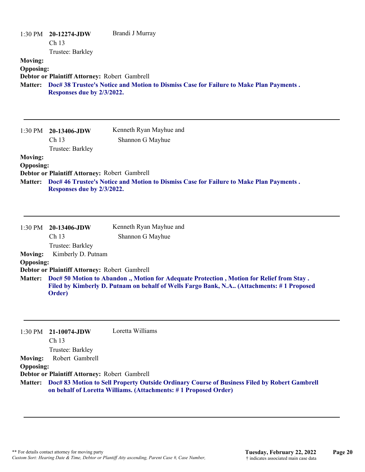| 1:30 PM<br><b>Moving:</b><br><b>Opposing:</b><br><b>Matter:</b> | 20-12274-JDW<br>Ch <sub>13</sub><br>Trustee: Barkley<br>Debtor or Plaintiff Attorney: Robert Gambrell<br>Responses due by 2/3/2022.                                                                                                              | Brandi J Murray<br>Doc# 38 Trustee's Notice and Motion to Dismiss Case for Failure to Make Plan Payments.                                                       |  |  |
|-----------------------------------------------------------------|--------------------------------------------------------------------------------------------------------------------------------------------------------------------------------------------------------------------------------------------------|-----------------------------------------------------------------------------------------------------------------------------------------------------------------|--|--|
| 1:30 PM                                                         | 20-13406-JDW<br>Ch <sub>13</sub><br>Trustee: Barkley                                                                                                                                                                                             | Kenneth Ryan Mayhue and<br>Shannon G Mayhue                                                                                                                     |  |  |
| <b>Moving:</b><br><b>Opposing:</b><br><b>Matter:</b>            | Debtor or Plaintiff Attorney: Robert Gambrell<br>Responses due by 2/3/2022.                                                                                                                                                                      | Doc# 46 Trustee's Notice and Motion to Dismiss Case for Failure to Make Plan Payments.                                                                          |  |  |
| 1:30 PM                                                         | 20-13406-JDW<br>Ch 13<br>Trustee: Barkley<br>Kimberly D. Putnam                                                                                                                                                                                  | Kenneth Ryan Mayhue and<br>Shannon G Mayhue                                                                                                                     |  |  |
| <b>Moving:</b><br><b>Opposing:</b><br><b>Matter:</b>            | Debtor or Plaintiff Attorney: Robert Gambrell<br>Doc# 50 Motion to Abandon ., Motion for Adequate Protection, Motion for Relief from Stay.<br>Filed by Kimberly D. Putnam on behalf of Wells Fargo Bank, N.A (Attachments: #1 Proposed<br>Order) |                                                                                                                                                                 |  |  |
| 1:30 PM                                                         | 21-10074-JDW<br>Ch 13<br>Trustee: Barkley                                                                                                                                                                                                        | Loretta Williams                                                                                                                                                |  |  |
| <b>Moving:</b><br><b>Opposing:</b><br><b>Matter:</b>            | Robert Gambrell<br>Debtor or Plaintiff Attorney: Robert Gambrell                                                                                                                                                                                 | Doc# 83 Motion to Sell Property Outside Ordinary Course of Business Filed by Robert Gambrell<br>on behalf of Loretta Williams. (Attachments: #1 Proposed Order) |  |  |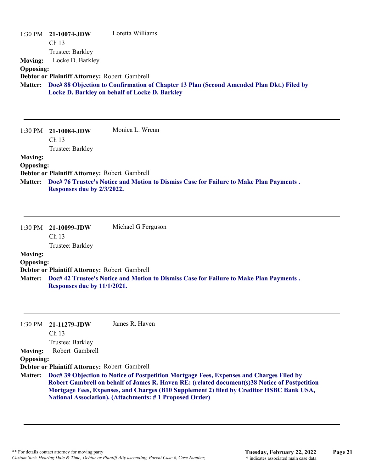| <b>Moving:</b><br><b>Opposing:</b><br><b>Matter:</b> | $1:30$ PM $21-10074$ -JDW<br>Ch 13<br>Trustee: Barkley<br>Locke D. Barkley<br>Debtor or Plaintiff Attorney: Robert Gambrell | Loretta Williams<br>Doc# 88 Objection to Confirmation of Chapter 13 Plan (Second Amended Plan Dkt.) Filed by<br>Locke D. Barkley on behalf of Locke D. Barkley |
|------------------------------------------------------|-----------------------------------------------------------------------------------------------------------------------------|----------------------------------------------------------------------------------------------------------------------------------------------------------------|
|                                                      | 1:30 PM 21-10084-JDW<br>Ch 13<br>Trustee: Barkley                                                                           | Monica L. Wrenn                                                                                                                                                |
| <b>Moving:</b>                                       |                                                                                                                             |                                                                                                                                                                |
| <b>Opposing:</b>                                     |                                                                                                                             |                                                                                                                                                                |
| <b>Matter:</b>                                       | Debtor or Plaintiff Attorney: Robert Gambrell<br>Responses due by 2/3/2022.                                                 | Doc# 76 Trustee's Notice and Motion to Dismiss Case for Failure to Make Plan Payments.                                                                         |
| 1:30 PM                                              | 21-10099-JDW<br>Ch <sub>13</sub><br>Trustee: Barkley                                                                        | Michael G Ferguson                                                                                                                                             |
| <b>Moving:</b>                                       |                                                                                                                             |                                                                                                                                                                |
| <b>Opposing:</b>                                     |                                                                                                                             |                                                                                                                                                                |
| <b>Matter:</b>                                       | Debtor or Plaintiff Attorney: Robert Gambrell<br>Responses due by 11/1/2021.                                                | Doc# 42 Trustee's Notice and Motion to Dismiss Case for Failure to Make Plan Payments.                                                                         |
| 1:30 PM                                              | 21-11279-JDW<br>Ch 13                                                                                                       | James R. Haven                                                                                                                                                 |
| <b>Moving:</b>                                       | Trustee: Barkley<br>Robert Gambrell                                                                                         |                                                                                                                                                                |
| <b>Opposing:</b>                                     | Debtor or Plaintiff Attorney: Robert Gambrell                                                                               |                                                                                                                                                                |

**Doc# 39 Objection to Notice of Postpetition Mortgage Fees, Expenses and Charges Filed by Matter: Robert Gambrell on behalf of James R. Haven RE: (related document(s)38 Notice of Postpetition Mortgage Fees, Expenses, and Charges (B10 Supplement 2) filed by Creditor HSBC Bank USA, National Association). (Attachments: # 1 Proposed Order)**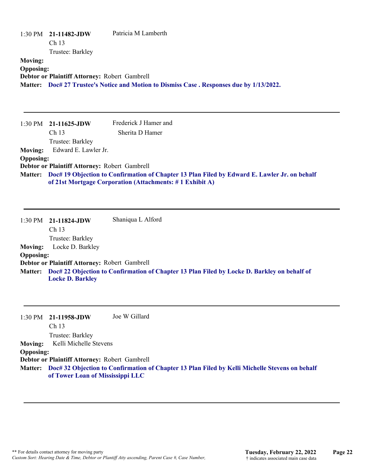| 1:30 PM                            | 21-11482-JDW<br>Ch 13                                             | Patricia M Lamberth                                                                                                                                      |
|------------------------------------|-------------------------------------------------------------------|----------------------------------------------------------------------------------------------------------------------------------------------------------|
| <b>Moving:</b><br><b>Opposing:</b> | Trustee: Barkley<br>Debtor or Plaintiff Attorney: Robert Gambrell | Matter: Doc# 27 Trustee's Notice and Motion to Dismiss Case. Responses due by 1/13/2022.                                                                 |
| $1:30$ PM                          | 21-11625-JDW                                                      | Frederick J Hamer and                                                                                                                                    |
|                                    | Ch <sub>13</sub>                                                  | Sherita D Hamer                                                                                                                                          |
|                                    | Trustee: Barkley                                                  |                                                                                                                                                          |
| <b>Moving:</b>                     | Edward E. Lawler Jr.                                              |                                                                                                                                                          |
| <b>Opposing:</b>                   |                                                                   |                                                                                                                                                          |
|                                    | Debtor or Plaintiff Attorney: Robert Gambrell                     |                                                                                                                                                          |
| <b>Matter:</b>                     |                                                                   | Doc# 19 Objection to Confirmation of Chapter 13 Plan Filed by Edward E. Lawler Jr. on behalf<br>of 21st Mortgage Corporation (Attachments: #1 Exhibit A) |
| $1:30$ PM                          | 21-11824-JDW<br>Ch 13                                             | Shaniqua L Alford                                                                                                                                        |
|                                    | Trustee: Barkley                                                  |                                                                                                                                                          |
| <b>Moving:</b>                     | Locke D. Barkley                                                  |                                                                                                                                                          |

## **Opposing:**

**Debtor or Plaintiff Attorney:** Robert Gambrell

**Doc# 22 Objection to Confirmation of Chapter 13 Plan Filed by Locke D. Barkley on behalf of Matter: Locke D. Barkley**

1:30 PM **21-11958-JDW**  Ch 13 Trustee: Barkley Joe W Gillard **Moving:** Kelli Michelle Stevens **Opposing: Debtor or Plaintiff Attorney:** Robert Gambrell **Doc# 32 Objection to Confirmation of Chapter 13 Plan Filed by Kelli Michelle Stevens on behalf Matter: of Tower Loan of Mississippi LLC**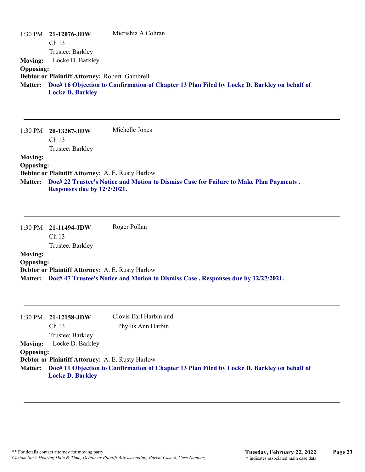|                  | $1:30 \text{ PM}$ 21-12076-JDW                | Micrishia A Cohran                                                                                  |
|------------------|-----------------------------------------------|-----------------------------------------------------------------------------------------------------|
|                  | Ch <sub>13</sub>                              |                                                                                                     |
|                  | Trustee: Barkley                              |                                                                                                     |
| <b>Moving:</b>   | Locke D. Barkley                              |                                                                                                     |
| <b>Opposing:</b> |                                               |                                                                                                     |
|                  | Debtor or Plaintiff Attorney: Robert Gambrell |                                                                                                     |
|                  | <b>Locke D. Barkley</b>                       | Matter: Doc# 16 Objection to Confirmation of Chapter 13 Plan Filed by Locke D. Barkley on behalf of |

1:30 PM **20-13287-JDW**  Ch 13 Trustee: Barkley Michelle Jones **Moving: Opposing: Debtor or Plaintiff Attorney:** A. E. Rusty Harlow **Doc# 22 Trustee's Notice and Motion to Dismiss Case for Failure to Make Plan Payments . Matter:**

**Responses due by 12/2/2021.**

|                | $1:30 \text{ PM}$ 21-11494-JDW | Roger Pollan |
|----------------|--------------------------------|--------------|
|                | Ch 13                          |              |
|                | Trustee: Barkley               |              |
| <b>Moving:</b> |                                |              |
|                |                                |              |

### **Opposing:**

**Debtor or Plaintiff Attorney:** A. E. Rusty Harlow **Matter: Doc# 47 Trustee's Notice and Motion to Dismiss Case . Responses due by 12/27/2021.**

|                  | $1:30$ PM $21-12158$ -JDW                        | Clovis Earl Harbin and                                                                              |
|------------------|--------------------------------------------------|-----------------------------------------------------------------------------------------------------|
|                  | Ch <sub>13</sub>                                 | Phyllis Ann Harbin                                                                                  |
|                  | Trustee: Barkley                                 |                                                                                                     |
| <b>Moving:</b>   | Locke D. Barkley                                 |                                                                                                     |
| <b>Opposing:</b> |                                                  |                                                                                                     |
|                  | Debtor or Plaintiff Attorney: A. E. Rusty Harlow |                                                                                                     |
|                  |                                                  | Matter: Doc# 11 Objection to Confirmation of Chapter 13 Plan Filed by Locke D. Barkley on behalf of |
|                  | <b>Locke D. Barkley</b>                          |                                                                                                     |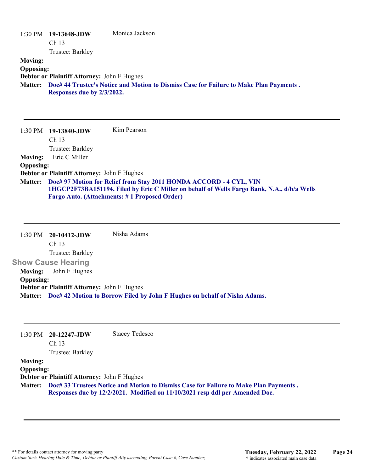| 1:30 PM          | 19-13648-JDW<br>Ch <sub>13</sub>                   | Monica Jackson                                                                         |
|------------------|----------------------------------------------------|----------------------------------------------------------------------------------------|
|                  | Trustee: Barkley                                   |                                                                                        |
| <b>Moving:</b>   |                                                    |                                                                                        |
| <b>Opposing:</b> |                                                    |                                                                                        |
|                  | <b>Debtor or Plaintiff Attorney: John F Hughes</b> |                                                                                        |
| <b>Matter:</b>   | Responses due by 2/3/2022.                         | Doc# 44 Trustee's Notice and Motion to Dismiss Case for Failure to Make Plan Payments. |
| $1:30$ PM        | 19-13840-JDW                                       | Kim Pearson                                                                            |

Ch 13 Trustee: Barkley **Moving:** Eric C Miller **Opposing: Debtor or Plaintiff Attorney:** John F Hughes **Doc# 97 Motion for Relief from Stay 2011 HONDA ACCORD - 4 CYL, VIN Matter: 1HGCP2F73BA151194. Filed by Eric C Miller on behalf of Wells Fargo Bank, N.A., d/b/a Wells Fargo Auto. (Attachments: # 1 Proposed Order)**

1:30 PM **20-10412-JDW**  Ch 13 Trustee: Barkley **Show Cause Hearing**  Nisha Adams **Moving:** John F Hughes **Opposing: Debtor or Plaintiff Attorney:** John F Hughes **Matter: Doc# 42 Motion to Borrow Filed by John F Hughes on behalf of Nisha Adams.**

| 1:30 PM          | 20-12247-JDW<br>Ch <sub>13</sub>                   | <b>Stacey Tedesco</b>                                                                 |
|------------------|----------------------------------------------------|---------------------------------------------------------------------------------------|
|                  | Trustee: Barkley                                   |                                                                                       |
| <b>Moving:</b>   |                                                    |                                                                                       |
| <b>Opposing:</b> |                                                    |                                                                                       |
|                  | <b>Debtor or Plaintiff Attorney: John F Hughes</b> |                                                                                       |
| <b>Matter:</b>   |                                                    | Doc# 33 Trustees Notice and Motion to Dismiss Case for Failure to Make Plan Payments. |
|                  |                                                    | Responses due by 12/2/2021. Modified on 11/10/2021 resp ddl per Amended Doc.          |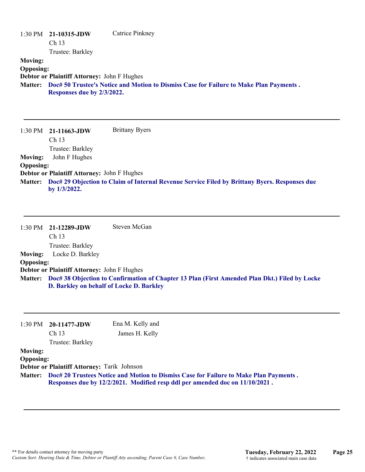|                  | $1:30$ PM $21-10315$ -JDW                          | Catrice Pinkney                                                                        |
|------------------|----------------------------------------------------|----------------------------------------------------------------------------------------|
|                  | Ch <sub>13</sub>                                   |                                                                                        |
|                  | Trustee: Barkley                                   |                                                                                        |
| <b>Moving:</b>   |                                                    |                                                                                        |
| <b>Opposing:</b> |                                                    |                                                                                        |
|                  | <b>Debtor or Plaintiff Attorney: John F Hughes</b> |                                                                                        |
| <b>Matter:</b>   | Responses due by 2/3/2022.                         | Doc# 50 Trustee's Notice and Motion to Dismiss Case for Failure to Make Plan Payments. |

1:30 PM **21-11663-JDW**  Ch 13 Trustee: Barkley Brittany Byers **Moving:** John F Hughes **Opposing: Debtor or Plaintiff Attorney:** John F Hughes **Doc# 29 Objection to Claim of Internal Revenue Service Filed by Brittany Byers. Responses due Matter: by 1/3/2022.**

|                  | $1:30$ PM $21-12289$ -JDW                          | Steven McGan                                                                                          |
|------------------|----------------------------------------------------|-------------------------------------------------------------------------------------------------------|
|                  | Ch <sub>13</sub>                                   |                                                                                                       |
|                  | Trustee: Barkley                                   |                                                                                                       |
| <b>Moving:</b>   | Locke D. Barkley                                   |                                                                                                       |
| <b>Opposing:</b> |                                                    |                                                                                                       |
|                  | <b>Debtor or Plaintiff Attorney: John F Hughes</b> |                                                                                                       |
|                  | D. Barkley on behalf of Locke D. Barkley           | Matter: Doc# 38 Objection to Confirmation of Chapter 13 Plan (First Amended Plan Dkt.) Filed by Locke |

| 1:30 PM          | 20-11477-JDW                                | Ena M. Kelly and                                                                                                                                                      |  |
|------------------|---------------------------------------------|-----------------------------------------------------------------------------------------------------------------------------------------------------------------------|--|
|                  | Ch <sub>13</sub>                            | James H. Kelly                                                                                                                                                        |  |
|                  | Trustee: Barkley                            |                                                                                                                                                                       |  |
| <b>Moving:</b>   |                                             |                                                                                                                                                                       |  |
| <b>Opposing:</b> |                                             |                                                                                                                                                                       |  |
|                  | Debtor or Plaintiff Attorney: Tarik Johnson |                                                                                                                                                                       |  |
| <b>Matter:</b>   |                                             | Doc# 20 Trustees Notice and Motion to Dismiss Case for Failure to Make Plan Payments.<br>Responses due by 12/2/2021. Modified resp ddl per amended doc on 11/10/2021. |  |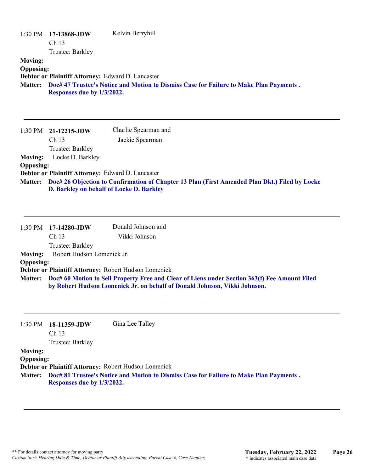| 1:30 PM<br><b>Moving:</b><br><b>Opposing:</b> | 17-13868-JDW<br>Ch <sub>13</sub><br>Trustee: Barkley                            | Kelvin Berryhill                                                                                                                                                           |
|-----------------------------------------------|---------------------------------------------------------------------------------|----------------------------------------------------------------------------------------------------------------------------------------------------------------------------|
| Matter:                                       | Debtor or Plaintiff Attorney: Edward D. Lancaster<br>Responses due by 1/3/2022. | Doc# 47 Trustee's Notice and Motion to Dismiss Case for Failure to Make Plan Payments.                                                                                     |
| 1:30 PM                                       | 21-12215-JDW                                                                    | Charlie Spearman and                                                                                                                                                       |
|                                               | Ch 13                                                                           | Jackie Spearman                                                                                                                                                            |
|                                               | Trustee: Barkley                                                                |                                                                                                                                                                            |
| <b>Moving:</b><br><b>Opposing:</b>            | Locke D. Barkley                                                                |                                                                                                                                                                            |
|                                               | Debtor or Plaintiff Attorney: Edward D. Lancaster                               |                                                                                                                                                                            |
| <b>Matter:</b>                                | D. Barkley on behalf of Locke D. Barkley                                        | Doc# 26 Objection to Confirmation of Chapter 13 Plan (First Amended Plan Dkt.) Filed by Locke                                                                              |
| 1:30 PM                                       | 17-14280-JDW                                                                    | Donald Johnson and                                                                                                                                                         |
|                                               | Ch <sub>13</sub>                                                                | Vikki Johnson                                                                                                                                                              |
| <b>Moving:</b>                                | Trustee: Barkley<br>Robert Hudson Lomenick Jr.                                  |                                                                                                                                                                            |
| <b>Opposing:</b>                              |                                                                                 |                                                                                                                                                                            |
|                                               |                                                                                 | Debtor or Plaintiff Attorney: Robert Hudson Lomenick                                                                                                                       |
| <b>Matter:</b>                                |                                                                                 | Doc# 60 Motion to Sell Property Free and Clear of Liens under Section 363(f) Fee Amount Filed<br>by Robert Hudson Lomenick Jr. on behalf of Donald Johnson, Vikki Johnson. |
| 1:30 PM                                       | 18-11359-JDW<br>Ch <sub>13</sub>                                                | Gina Lee Talley                                                                                                                                                            |
| <b>Moving:</b>                                | Trustee: Barkley                                                                |                                                                                                                                                                            |
| <b>Opposing:</b>                              |                                                                                 |                                                                                                                                                                            |
|                                               |                                                                                 | Debtor or Plaintiff Attorney: Robert Hudson Lomenick                                                                                                                       |
| <b>Matter:</b>                                | Responses due by 1/3/2022.                                                      | Doc# 81 Trustee's Notice and Motion to Dismiss Case for Failure to Make Plan Payments.                                                                                     |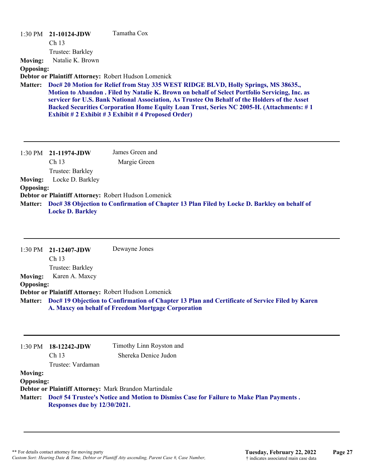|                  | 1:30 PM 21-10124-JDW | Tamatha Cox                                                                                                                                                                                     |
|------------------|----------------------|-------------------------------------------------------------------------------------------------------------------------------------------------------------------------------------------------|
|                  | Ch <sub>13</sub>     |                                                                                                                                                                                                 |
|                  | Trustee: Barkley     |                                                                                                                                                                                                 |
| <b>Moving:</b>   | Natalie K. Brown     |                                                                                                                                                                                                 |
| <b>Opposing:</b> |                      |                                                                                                                                                                                                 |
|                  |                      | Debtor or Plaintiff Attorney: Robert Hudson Lomenick                                                                                                                                            |
|                  |                      | Matter: Doc# 20 Motion for Relief from Stay 335 WEST RIDGE BLVD, Holly Springs, MS 38635.,                                                                                                      |
|                  |                      | Motion to Abandon . Filed by Natalie K. Brown on behalf of Select Portfolio Servicing, Inc. as<br>servicer for U.S. Bank National Association, As Trustee On Behalf of the Holders of the Asset |
|                  |                      | <b>Backed Securities Corporation Home Equity Loan Trust, Series NC 2005-H. (Attachments: #1</b>                                                                                                 |
|                  |                      | <b>Exhibit # 2 Exhibit # 3 Exhibit # 4 Proposed Order)</b>                                                                                                                                      |

|                  | 1:30 PM 21-11974-JDW                                                                                                           | James Green and |
|------------------|--------------------------------------------------------------------------------------------------------------------------------|-----------------|
|                  | Ch <sub>13</sub>                                                                                                               | Margie Green    |
|                  | Trustee: Barkley                                                                                                               |                 |
| <b>Moving:</b>   | Locke D. Barkley                                                                                                               |                 |
| <b>Opposing:</b> |                                                                                                                                |                 |
|                  | Debtor or Plaintiff Attorney: Robert Hudson Lomenick                                                                           |                 |
|                  | Matter: Doc# 38 Objection to Confirmation of Chapter 13 Plan Filed by Locke D. Barkley on behalf of<br><b>Locke D. Barkley</b> |                 |

|                  | $1:30 \text{ PM}$ 21-12407-JDW                       | Dewayne Jones                                                                                                                                                |
|------------------|------------------------------------------------------|--------------------------------------------------------------------------------------------------------------------------------------------------------------|
|                  | Ch <sub>13</sub>                                     |                                                                                                                                                              |
|                  | Trustee: Barkley                                     |                                                                                                                                                              |
| <b>Moving:</b>   | Karen A. Maxcy                                       |                                                                                                                                                              |
| <b>Opposing:</b> |                                                      |                                                                                                                                                              |
|                  | Debtor or Plaintiff Attorney: Robert Hudson Lomenick |                                                                                                                                                              |
|                  |                                                      | Matter: Doc# 19 Objection to Confirmation of Chapter 13 Plan and Certificate of Service Filed by Karen<br>A. Maxcy on behalf of Freedom Mortgage Corporation |

| 1:30 PM          | $18-12242$ -JDW<br>Ch <sub>13</sub>                   | Timothy Linn Royston and<br>Shereka Denice Judon                                       |
|------------------|-------------------------------------------------------|----------------------------------------------------------------------------------------|
|                  | Trustee: Vardaman                                     |                                                                                        |
| <b>Moving:</b>   |                                                       |                                                                                        |
| <b>Opposing:</b> |                                                       |                                                                                        |
|                  | Debtor or Plaintiff Attorney: Mark Brandon Martindale |                                                                                        |
| <b>Matter:</b>   | Responses due by 12/30/2021.                          | Doc# 54 Trustee's Notice and Motion to Dismiss Case for Failure to Make Plan Payments. |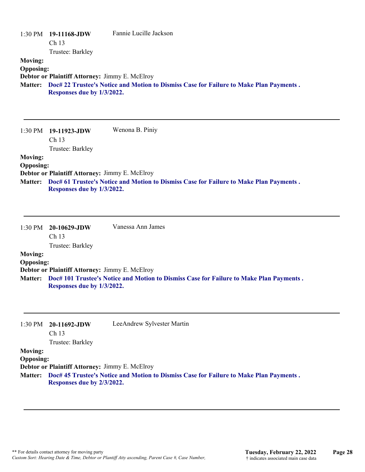|                                                      | $1:30 \text{ PM}$ 19-11168-JDW<br>Ch 13<br>Trustee: Barkley                         | Fannie Lucille Jackson                                                                 |
|------------------------------------------------------|-------------------------------------------------------------------------------------|----------------------------------------------------------------------------------------|
| <b>Moving:</b><br><b>Opposing:</b><br><b>Matter:</b> | Debtor or Plaintiff Attorney: Jimmy E. McElroy<br>Responses due by 1/3/2022.        | Doc# 22 Trustee's Notice and Motion to Dismiss Case for Failure to Make Plan Payments. |
| 1:30 PM                                              | 19-11923-JDW<br>Ch 13<br>Trustee: Barkley                                           | Wenona B. Piniy                                                                        |
| <b>Moving:</b><br><b>Opposing:</b><br><b>Matter:</b> | <b>Debtor or Plaintiff Attorney: Jimmy E. McElroy</b><br>Responses due by 1/3/2022. | Doc# 61 Trustee's Notice and Motion to Dismiss Case for Failure to Make Plan Payments. |

|                  | $1:30 \text{ PM}$ 20-10629-JDW | Vanessa Ann James                                                                       |
|------------------|--------------------------------|-----------------------------------------------------------------------------------------|
|                  | Ch <sub>13</sub>               |                                                                                         |
|                  | Trustee: Barkley               |                                                                                         |
| <b>Moving:</b>   |                                |                                                                                         |
| <b>Opposing:</b> |                                |                                                                                         |
|                  |                                | <b>Debtor or Plaintiff Attorney: Jimmy E. McElroy</b>                                   |
| <b>Matter:</b>   | Responses due by 1/3/2022.     | Doc# 101 Trustee's Notice and Motion to Dismiss Case for Failure to Make Plan Payments. |

| $20-11692$ -JDW                                       | LeeAndrew Sylvester Martin                                                             |
|-------------------------------------------------------|----------------------------------------------------------------------------------------|
| Ch <sub>13</sub>                                      |                                                                                        |
| Trustee: Barkley                                      |                                                                                        |
|                                                       |                                                                                        |
| <b>Opposing:</b>                                      |                                                                                        |
| <b>Debtor or Plaintiff Attorney: Jimmy E. McElroy</b> |                                                                                        |
|                                                       | Doc# 45 Trustee's Notice and Motion to Dismiss Case for Failure to Make Plan Payments. |
|                                                       |                                                                                        |
|                                                       | Responses due by 2/3/2022.                                                             |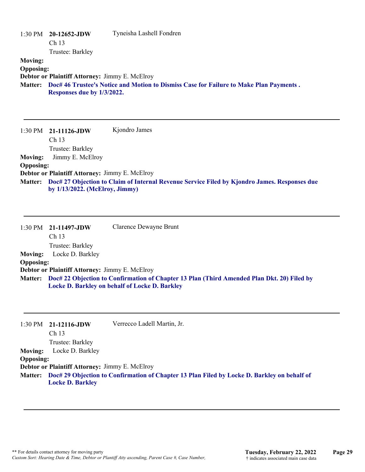|                  | $1:30 \text{ PM}$ 20-12652-JDW | Tyneisha Lashell Fondren                                                               |
|------------------|--------------------------------|----------------------------------------------------------------------------------------|
|                  | Ch <sub>13</sub>               |                                                                                        |
|                  | Trustee: Barkley               |                                                                                        |
| <b>Moving:</b>   |                                |                                                                                        |
| <b>Opposing:</b> |                                |                                                                                        |
|                  |                                | Debtor or Plaintiff Attorney: Jimmy E. McElroy                                         |
| <b>Matter:</b>   | Responses due by 1/3/2022.     | Doc# 46 Trustee's Notice and Motion to Dismiss Case for Failure to Make Plan Payments. |

1:30 PM **21-11126-JDW**  Ch 13 Trustee: Barkley Kjondro James **Moving:** Jimmy E. McElroy **Opposing: Debtor or Plaintiff Attorney:** Jimmy E. McElroy **Doc# 27 Objection to Claim of Internal Revenue Service Filed by Kjondro James. Responses due Matter: by 1/13/2022. (McElroy, Jimmy)**

|                  | $1:30 \text{ PM}$ 21-11497-JDW                 | Clarence Dewayne Brunt                                                                                                                               |
|------------------|------------------------------------------------|------------------------------------------------------------------------------------------------------------------------------------------------------|
|                  | Ch <sub>13</sub>                               |                                                                                                                                                      |
|                  | Trustee: Barkley                               |                                                                                                                                                      |
| <b>Moving:</b>   | Locke D. Barkley                               |                                                                                                                                                      |
| <b>Opposing:</b> |                                                |                                                                                                                                                      |
|                  | Debtor or Plaintiff Attorney: Jimmy E. McElroy |                                                                                                                                                      |
|                  |                                                | Matter: Doc# 22 Objection to Confirmation of Chapter 13 Plan (Third Amended Plan Dkt. 20) Filed by<br>Locke D. Barkley on behalf of Locke D. Barkley |

|                  | $1:30 \text{ PM}$ 21-12116-JDW                        | Verrecco Ladell Martin, Jr.                                                                         |
|------------------|-------------------------------------------------------|-----------------------------------------------------------------------------------------------------|
|                  |                                                       |                                                                                                     |
|                  | Ch <sub>13</sub>                                      |                                                                                                     |
|                  | Trustee: Barkley                                      |                                                                                                     |
| <b>Moving:</b>   | Locke D. Barkley                                      |                                                                                                     |
| <b>Opposing:</b> |                                                       |                                                                                                     |
|                  | <b>Debtor or Plaintiff Attorney: Jimmy E. McElroy</b> |                                                                                                     |
|                  |                                                       | Matter: Doc# 29 Objection to Confirmation of Chapter 13 Plan Filed by Locke D. Barkley on behalf of |
|                  | <b>Locke D. Barkley</b>                               |                                                                                                     |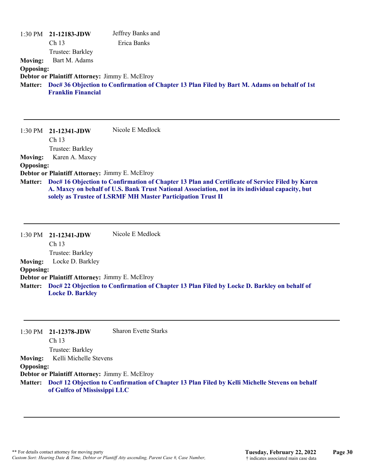|                  | $1:30$ PM $21-12183$ -JDW                             | Jeffrey Banks and                                                                                    |
|------------------|-------------------------------------------------------|------------------------------------------------------------------------------------------------------|
|                  | Ch <sub>13</sub>                                      | Erica Banks                                                                                          |
|                  | Trustee: Barkley                                      |                                                                                                      |
| <b>Moving:</b>   | Bart M. Adams                                         |                                                                                                      |
| <b>Opposing:</b> |                                                       |                                                                                                      |
|                  | <b>Debtor or Plaintiff Attorney: Jimmy E. McElroy</b> |                                                                                                      |
|                  | <b>Franklin Financial</b>                             | Matter: Doc# 36 Objection to Confirmation of Chapter 13 Plan Filed by Bart M. Adams on behalf of 1st |

1:30 PM **21-12341-JDW**  Ch 13 Trustee: Barkley Nicole E Medlock **Moving:** Karen A. Maxcy **Opposing: Debtor or Plaintiff Attorney:** Jimmy E. McElroy **Doc# 16 Objection to Confirmation of Chapter 13 Plan and Certificate of Service Filed by Karen Matter: A. Maxcy on behalf of U.S. Bank Trust National Association, not in its individual capacity, but solely as Trustee of LSRMF MH Master Participation Trust II**

1:30 PM **21-12341-JDW**  Ch 13 Trustee: Barkley Nicole E Medlock **Moving:** Locke D. Barkley **Opposing: Debtor or Plaintiff Attorney:** Jimmy E. McElroy **Doc# 22 Objection to Confirmation of Chapter 13 Plan Filed by Locke D. Barkley on behalf of Matter: Locke D. Barkley**

|                  | $1:30 \text{ PM}$ 21-12378-JDW                        | <b>Sharon Evette Starks</b>                                                                            |
|------------------|-------------------------------------------------------|--------------------------------------------------------------------------------------------------------|
|                  | Ch <sub>13</sub>                                      |                                                                                                        |
|                  | Trustee: Barkley                                      |                                                                                                        |
| Moving:          | Kelli Michelle Stevens                                |                                                                                                        |
| <b>Opposing:</b> |                                                       |                                                                                                        |
|                  | <b>Debtor or Plaintiff Attorney: Jimmy E. McElroy</b> |                                                                                                        |
|                  | of Gulfco of Mississippi LLC                          | Matter: Doc# 12 Objection to Confirmation of Chapter 13 Plan Filed by Kelli Michelle Stevens on behalf |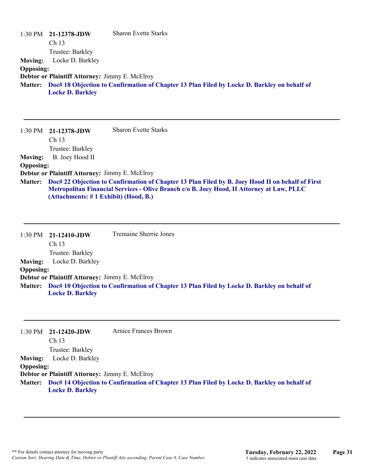|                  | $1:30 \text{ PM}$ 21-12378-JDW                 | <b>Sharon Evette Starks</b>                                                                         |
|------------------|------------------------------------------------|-----------------------------------------------------------------------------------------------------|
|                  | Ch <sub>13</sub>                               |                                                                                                     |
|                  | Trustee: Barkley                               |                                                                                                     |
| <b>Moving:</b>   | Locke D. Barkley                               |                                                                                                     |
| <b>Opposing:</b> |                                                |                                                                                                     |
|                  | Debtor or Plaintiff Attorney: Jimmy E. McElroy |                                                                                                     |
|                  | <b>Locke D. Barkley</b>                        | Matter: Doc# 18 Objection to Confirmation of Chapter 13 Plan Filed by Locke D. Barkley on behalf of |

|                  | $1:30 \text{ PM}$ 21-12378-JDW<br>Ch <sub>13</sub>                                                                                                                                                                                             | <b>Sharon Evette Starks</b> |
|------------------|------------------------------------------------------------------------------------------------------------------------------------------------------------------------------------------------------------------------------------------------|-----------------------------|
|                  | Trustee: Barkley                                                                                                                                                                                                                               |                             |
| <b>Moving:</b>   | B. Joey Hood II                                                                                                                                                                                                                                |                             |
| <b>Opposing:</b> |                                                                                                                                                                                                                                                |                             |
|                  | Debtor or Plaintiff Attorney: Jimmy E. McElroy                                                                                                                                                                                                 |                             |
|                  | Matter: Doc# 22 Objection to Confirmation of Chapter 13 Plan Filed by B. Joey Hood II on behalf of First<br>Metropolitan Financial Services - Olive Branch c/o B. Joey Hood, II Attorney at Law, PLLC<br>(Attachments: # 1 Exhibit) (Hood, B.) |                             |

|                  | $1:30 \text{ PM}$ 21-12410-JDW                        | <b>Tremaine Sherrie Jones</b>                                                                       |
|------------------|-------------------------------------------------------|-----------------------------------------------------------------------------------------------------|
|                  | Ch <sub>13</sub>                                      |                                                                                                     |
|                  | Trustee: Barkley                                      |                                                                                                     |
| <b>Moving:</b>   | Locke D. Barkley                                      |                                                                                                     |
| <b>Opposing:</b> |                                                       |                                                                                                     |
|                  | <b>Debtor or Plaintiff Attorney: Jimmy E. McElroy</b> |                                                                                                     |
|                  |                                                       | Matter: Doc# 10 Objection to Confirmation of Chapter 13 Plan Filed by Locke D. Barkley on behalf of |
|                  | <b>Locke D. Barkley</b>                               |                                                                                                     |

|                  | $1:30 \text{ PM}$ 21-12420-JDW                 | Arnice Frances Brown                                                                                |
|------------------|------------------------------------------------|-----------------------------------------------------------------------------------------------------|
|                  | Ch <sub>13</sub>                               |                                                                                                     |
|                  | Trustee: Barkley                               |                                                                                                     |
| <b>Moving:</b>   | Locke D. Barkley                               |                                                                                                     |
| <b>Opposing:</b> |                                                |                                                                                                     |
|                  | Debtor or Plaintiff Attorney: Jimmy E. McElroy |                                                                                                     |
|                  |                                                | Matter: Doc# 14 Objection to Confirmation of Chapter 13 Plan Filed by Locke D. Barkley on behalf of |
|                  | <b>Locke D. Barkley</b>                        |                                                                                                     |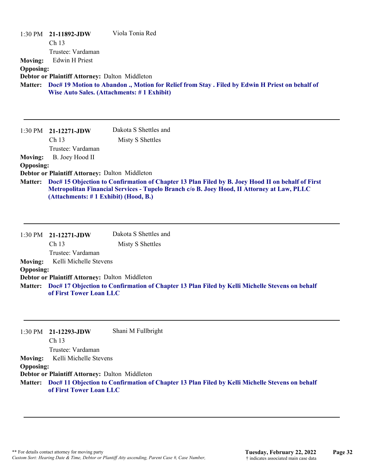| $1:30 \text{ PM}$ | 21-11892-JDW<br>Ch <sub>13</sub>               | Viola Tonia Red                                                                                  |
|-------------------|------------------------------------------------|--------------------------------------------------------------------------------------------------|
|                   | Trustee: Vardaman                              |                                                                                                  |
| <b>Moving:</b>    | Edwin H Priest                                 |                                                                                                  |
| <b>Opposing:</b>  |                                                |                                                                                                  |
|                   | Debtor or Plaintiff Attorney: Dalton Middleton |                                                                                                  |
| <b>Matter:</b>    |                                                | Doc# 19 Motion to Abandon ., Motion for Relief from Stay . Filed by Edwin H Priest on behalf of  |
|                   |                                                | <b>Wise Auto Sales. (Attachments: #1 Exhibit)</b>                                                |
|                   |                                                |                                                                                                  |
|                   |                                                |                                                                                                  |
|                   |                                                |                                                                                                  |
| $1:30 \text{ PM}$ | 21-12271-JDW                                   | Dakota S Shettles and                                                                            |
|                   | Ch <sub>13</sub>                               | Misty S Shettles                                                                                 |
|                   | Trustee: Vardaman                              |                                                                                                  |
| <b>Moving:</b>    | B. Joey Hood II                                |                                                                                                  |
| <b>Opposing:</b>  |                                                |                                                                                                  |
|                   | Debtor or Plaintiff Attorney: Dalton Middleton |                                                                                                  |
| <b>Matter:</b>    |                                                | Doc# 15 Objection to Confirmation of Chapter 13 Plan Filed by B. Joey Hood II on behalf of First |
|                   | (Attachments: #1 Exhibit) (Hood, B.)           | Metropolitan Financial Services - Tupelo Branch c/o B. Joey Hood, II Attorney at Law, PLLC       |

|                  | 1:30 PM 21-12271-JDW                           | Dakota S Shettles and                                                                                  |
|------------------|------------------------------------------------|--------------------------------------------------------------------------------------------------------|
|                  | Ch <sub>13</sub>                               | Misty S Shettles                                                                                       |
|                  | Trustee: Vardaman                              |                                                                                                        |
|                  | Moving: Kelli Michelle Stevens                 |                                                                                                        |
| <b>Opposing:</b> |                                                |                                                                                                        |
|                  | Debtor or Plaintiff Attorney: Dalton Middleton |                                                                                                        |
|                  |                                                | Matter: Doc# 17 Objection to Confirmation of Chapter 13 Plan Filed by Kelli Michelle Stevens on behalf |
|                  | of First Tower Loan LLC                        |                                                                                                        |

|                  | $1:30 \text{ PM}$ 21-12293-JDW                 | Shani M Fullbright                                                                                     |
|------------------|------------------------------------------------|--------------------------------------------------------------------------------------------------------|
|                  | Ch <sub>13</sub>                               |                                                                                                        |
|                  | Trustee: Vardaman                              |                                                                                                        |
|                  | <b>Moving:</b> Kelli Michelle Stevens          |                                                                                                        |
| <b>Opposing:</b> |                                                |                                                                                                        |
|                  | Debtor or Plaintiff Attorney: Dalton Middleton |                                                                                                        |
|                  | of First Tower Loan LLC                        | Matter: Doc# 11 Objection to Confirmation of Chapter 13 Plan Filed by Kelli Michelle Stevens on behalf |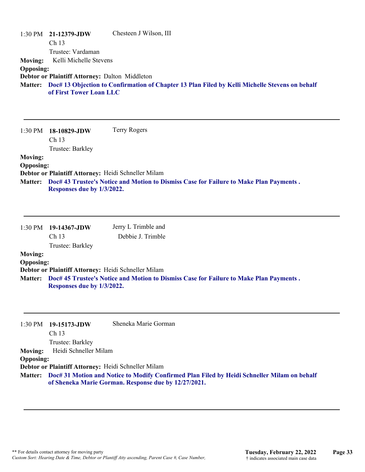|                  | $1:30 \text{ PM}$ 21-12379-JDW                 | Chesteen J Wilson, III                                                                                 |
|------------------|------------------------------------------------|--------------------------------------------------------------------------------------------------------|
|                  | Ch <sub>13</sub>                               |                                                                                                        |
|                  | Trustee: Vardaman                              |                                                                                                        |
|                  | Moving: Kelli Michelle Stevens                 |                                                                                                        |
| <b>Opposing:</b> |                                                |                                                                                                        |
|                  | Debtor or Plaintiff Attorney: Dalton Middleton |                                                                                                        |
|                  | of First Tower Loan LLC                        | Matter: Doc# 13 Objection to Confirmation of Chapter 13 Plan Filed by Kelli Michelle Stevens on behalf |

| 1:30 PM          | 18-10829-JDW                                        | <b>Terry Rogers</b>                                                                    |
|------------------|-----------------------------------------------------|----------------------------------------------------------------------------------------|
|                  | Ch <sub>13</sub>                                    |                                                                                        |
|                  | Trustee: Barkley                                    |                                                                                        |
| <b>Moving:</b>   |                                                     |                                                                                        |
| <b>Opposing:</b> |                                                     |                                                                                        |
|                  | Debtor or Plaintiff Attorney: Heidi Schneller Milam |                                                                                        |
| <b>Matter:</b>   |                                                     | Doc# 43 Trustee's Notice and Motion to Dismiss Case for Failure to Make Plan Payments. |
|                  | Responses due by 1/3/2022.                          |                                                                                        |

|                  | $1:30 \text{ PM}$ 19-14367-JDW<br>Ch <sub>13</sub> | Jerry L Trimble and<br>Debbie J. Trimble                                               |
|------------------|----------------------------------------------------|----------------------------------------------------------------------------------------|
|                  | Trustee: Barkley                                   |                                                                                        |
| <b>Moving:</b>   |                                                    |                                                                                        |
| <b>Opposing:</b> |                                                    |                                                                                        |
|                  |                                                    | Debtor or Plaintiff Attorney: Heidi Schneller Milam                                    |
| <b>Matter:</b>   | Responses due by 1/3/2022.                         | Doc# 45 Trustee's Notice and Motion to Dismiss Case for Failure to Make Plan Payments. |
|                  |                                                    |                                                                                        |

|                  | 1:30 PM 19-15173-JDW                                | Sheneka Marie Gorman                                                                                                                                        |
|------------------|-----------------------------------------------------|-------------------------------------------------------------------------------------------------------------------------------------------------------------|
|                  | Ch <sub>13</sub>                                    |                                                                                                                                                             |
|                  | Trustee: Barkley                                    |                                                                                                                                                             |
| <b>Moving:</b>   | Heidi Schneller Milam                               |                                                                                                                                                             |
| <b>Opposing:</b> |                                                     |                                                                                                                                                             |
|                  | Debtor or Plaintiff Attorney: Heidi Schneller Milam |                                                                                                                                                             |
|                  |                                                     | Matter: Doc# 31 Motion and Notice to Modify Confirmed Plan Filed by Heidi Schneller Milam on behalf<br>of Sheneka Marie Gorman. Response due by 12/27/2021. |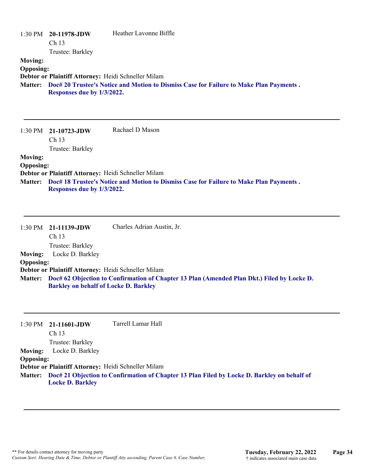| 1:30 PM<br><b>Moving:</b><br><b>Opposing:</b><br><b>Matter:</b> | 20-11978-JDW<br>Ch <sub>13</sub><br>Trustee: Barkley<br>Debtor or Plaintiff Attorney: Heidi Schneller Milam<br>Responses due by 1/3/2022. | Heather Lavonne Biffle<br>Doc# 20 Trustee's Notice and Motion to Dismiss Case for Failure to Make Plan Payments.                |
|-----------------------------------------------------------------|-------------------------------------------------------------------------------------------------------------------------------------------|---------------------------------------------------------------------------------------------------------------------------------|
| 1:30 PM<br><b>Moving:</b><br><b>Opposing:</b><br><b>Matter:</b> | 21-10723-JDW<br>Ch <sub>13</sub><br>Trustee: Barkley<br>Debtor or Plaintiff Attorney: Heidi Schneller Milam<br>Responses due by 1/3/2022. | Rachael D Mason<br>Doc# 18 Trustee's Notice and Motion to Dismiss Case for Failure to Make Plan Payments.                       |
| 1:30 PM<br><b>Moving:</b><br><b>Opposing:</b>                   | 21-11139-JDW<br>Ch <sub>13</sub><br>Trustee: Barkley<br>Locke D. Barkley<br>Debtor or Plaintiff Attorney: Heidi Schneller Milam           | Charles Adrian Austin, Jr.<br>Mottory Dooff 62 Objection to Confirmation of Chapter 13 Plan (Amonded Plan Dkt) Filed by Looke D |

| Matter: Doc# 62 Objection to Confirmation of Chapter 13 Plan (Amended Plan Dkt.) Filed by Locke D. |
|----------------------------------------------------------------------------------------------------|
| <b>Barkley on behalf of Locke D. Barkley</b>                                                       |

| 1:30 PM          | 21-11601-JDW                                        | Tarrell Lamar Hall                                                                                  |
|------------------|-----------------------------------------------------|-----------------------------------------------------------------------------------------------------|
|                  | Ch <sub>13</sub>                                    |                                                                                                     |
|                  | Trustee: Barkley                                    |                                                                                                     |
| <b>Moving:</b>   | Locke D. Barkley                                    |                                                                                                     |
| <b>Opposing:</b> |                                                     |                                                                                                     |
|                  | Debtor or Plaintiff Attorney: Heidi Schneller Milam |                                                                                                     |
|                  |                                                     | Matter: Doc# 21 Objection to Confirmation of Chapter 13 Plan Filed by Locke D. Barkley on behalf of |
|                  | <b>Locke D. Barkley</b>                             |                                                                                                     |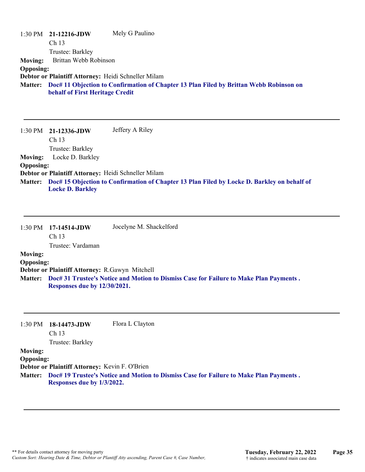|                  | $1:30 \text{ PM}$ 21-12216-JDW                      | Mely G Paulino                                                                         |
|------------------|-----------------------------------------------------|----------------------------------------------------------------------------------------|
|                  | Ch <sub>13</sub>                                    |                                                                                        |
|                  | Trustee: Barkley                                    |                                                                                        |
| <b>Moving:</b>   | Brittan Webb Robinson                               |                                                                                        |
| <b>Opposing:</b> |                                                     |                                                                                        |
|                  | Debtor or Plaintiff Attorney: Heidi Schneller Milam |                                                                                        |
| <b>Matter:</b>   | behalf of First Heritage Credit                     | Doc# 11 Objection to Confirmation of Chapter 13 Plan Filed by Brittan Webb Robinson on |

1:30 PM **21-12336-JDW**  Ch 13 Trustee: Barkley Jeffery A Riley **Moving:** Locke D. Barkley **Opposing: Debtor or Plaintiff Attorney:** Heidi Schneller Milam **Doc# 15 Objection to Confirmation of Chapter 13 Plan Filed by Locke D. Barkley on behalf of Matter: Locke D. Barkley**

|                                    | $1:30 \text{ PM}$ 17-14514-JDW<br>Ch <sub>13</sub><br>Trustee: Vardaman | Jocelyne M. Shackelford                                                                |
|------------------------------------|-------------------------------------------------------------------------|----------------------------------------------------------------------------------------|
| <b>Moving:</b><br><b>Opposing:</b> | Debtor or Plaintiff Attorney: R.Gawyn Mitchell                          |                                                                                        |
| <b>Matter:</b>                     | Responses due by 12/30/2021.                                            | Doc# 31 Trustee's Notice and Motion to Dismiss Case for Failure to Make Plan Payments. |

| $1:30$ PM        | 18-14473-JDW<br>Ch <sub>13</sub>               | Flora L Clayton                                                                        |
|------------------|------------------------------------------------|----------------------------------------------------------------------------------------|
|                  | Trustee: Barkley                               |                                                                                        |
| <b>Moving:</b>   |                                                |                                                                                        |
| <b>Opposing:</b> |                                                |                                                                                        |
|                  | Debtor or Plaintiff Attorney: Kevin F. O'Brien |                                                                                        |
| <b>Matter:</b>   | Responses due by 1/3/2022.                     | Doc# 19 Trustee's Notice and Motion to Dismiss Case for Failure to Make Plan Payments. |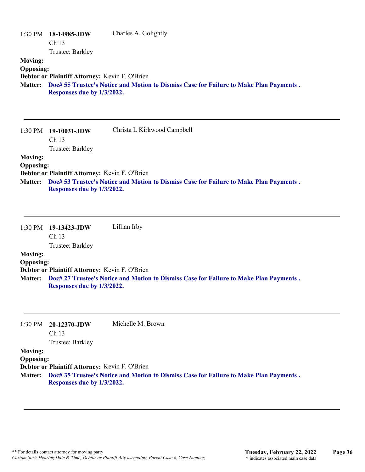| 1:30 PM<br><b>Moving:</b><br><b>Opposing:</b><br><b>Matter:</b> | 18-14985-JDW<br>Ch 13<br>Trustee: Barkley<br>Debtor or Plaintiff Attorney: Kevin F. O'Brien<br>Responses due by 1/3/2022. | Charles A. Golightly<br>Doc# 55 Trustee's Notice and Motion to Dismiss Case for Failure to Make Plan Payments. |
|-----------------------------------------------------------------|---------------------------------------------------------------------------------------------------------------------------|----------------------------------------------------------------------------------------------------------------|
| 1:30 PM                                                         | 19-10031-JDW<br>Ch <sub>13</sub><br>Trustee: Barkley                                                                      | Christa L Kirkwood Campbell                                                                                    |
| <b>Moving:</b><br><b>Opposing:</b><br><b>Matter:</b>            | Debtor or Plaintiff Attorney: Kevin F. O'Brien<br>Responses due by 1/3/2022.                                              | Doc# 53 Trustee's Notice and Motion to Dismiss Case for Failure to Make Plan Payments.                         |
| 1:30 PM                                                         | 19-13423-JDW<br>Ch 13<br>Trustee: Barkley                                                                                 | Lillian Irby                                                                                                   |
| <b>Moving:</b><br><b>Opposing:</b>                              | Debtor or Plaintiff Attorney: Kevin F. O'Brien<br>Responses due by 1/3/2022.                                              | Matter: Doc# 27 Trustee's Notice and Motion to Dismiss Case for Failure to Make Plan Payments.                 |

|                | 1:30 PM $20-12370$ -JDW | Michelle M. Brown |
|----------------|-------------------------|-------------------|
|                | Ch <sub>13</sub>        |                   |
|                | Trustee: Barkley        |                   |
| <b>Moving:</b> |                         |                   |

## **Opposing:**

**Debtor or Plaintiff Attorney:** Kevin F. O'Brien

**Doc# 35 Trustee's Notice and Motion to Dismiss Case for Failure to Make Plan Payments . Matter: Responses due by 1/3/2022.**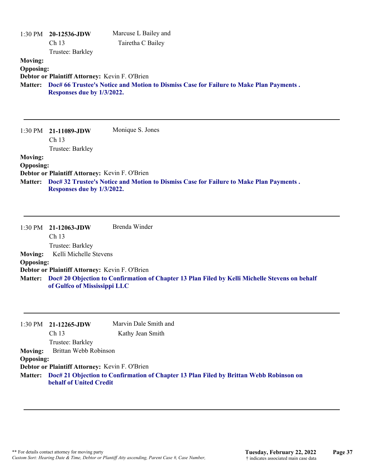|                                    | 1:30 PM 20-12536-JDW<br>Ch 13<br>Trustee: Barkley                            | Marcuse L Bailey and<br>Tairetha C Bailey                                                              |
|------------------------------------|------------------------------------------------------------------------------|--------------------------------------------------------------------------------------------------------|
| <b>Moving:</b><br><b>Opposing:</b> | Debtor or Plaintiff Attorney: Kevin F. O'Brien<br>Responses due by 1/3/2022. | Matter: Doc# 66 Trustee's Notice and Motion to Dismiss Case for Failure to Make Plan Payments.         |
| 1:30 PM                            | 21-11089-JDW<br>Ch 13<br>Trustee: Barkley                                    | Monique S. Jones                                                                                       |
| <b>Moving:</b><br><b>Opposing:</b> | Debtor or Plaintiff Attorney: Kevin F. O'Brien<br>Responses due by 1/3/2022. | Matter: Doc# 32 Trustee's Notice and Motion to Dismiss Case for Failure to Make Plan Payments.         |
| 1:30 PM                            | 21-12063-JDW<br>Ch <sub>13</sub><br>Trustee: Barkley                         | Brenda Winder                                                                                          |
| <b>Moving:</b>                     | Kelli Michelle Stevens                                                       |                                                                                                        |
| <b>Opposing:</b>                   | Debtor or Plaintiff Attorney: Kevin F. O'Brien                               |                                                                                                        |
|                                    | of Gulfco of Mississippi LLC                                                 | Matter: Doc# 20 Objection to Confirmation of Chapter 13 Plan Filed by Kelli Michelle Stevens on behalf |
|                                    | 1:30 PM 21-12265-JDW                                                         | Marvin Dale Smith and                                                                                  |

Ch 13 Trustee: Barkley Kathy Jean Smith **Moving:** Brittan Webb Robinson **Opposing: Debtor or Plaintiff Attorney:** Kevin F. O'Brien

**Doc# 21 Objection to Confirmation of Chapter 13 Plan Filed by Brittan Webb Robinson on Matter: behalf of United Credit**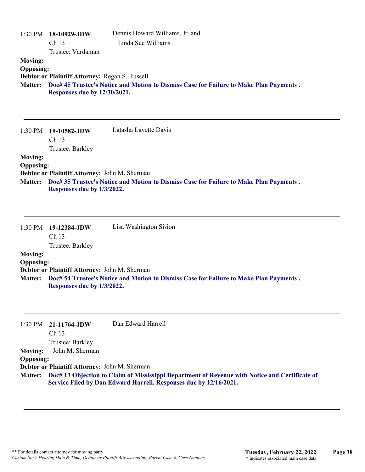| 1:30 PM 18-10929-JDW<br>Ch 13<br>Trustee: Vardaman                               | Dennis Howard Williams, Jr. and<br>Linda Sue Williams                                                                                                                             |
|----------------------------------------------------------------------------------|-----------------------------------------------------------------------------------------------------------------------------------------------------------------------------------|
| <b>Opposing:</b><br>Debtor or Plaintiff Attorney: Regan S. Russell               | Doc# 45 Trustee's Notice and Motion to Dismiss Case for Failure to Make Plan Payments.                                                                                            |
| 19-10582-JDW<br>Ch 13                                                            | Latasha Lavette Davis                                                                                                                                                             |
| <b>Opposing:</b><br>Debtor or Plaintiff Attorney: John M. Sherman                | Doc# 35 Trustee's Notice and Motion to Dismiss Case for Failure to Make Plan Payments.                                                                                            |
| 1:30 PM<br>19-12384-JDW<br>Ch <sub>13</sub>                                      | Lisa Washington Sision                                                                                                                                                            |
| <b>Opposing:</b><br>Debtor or Plaintiff Attorney: John M. Sherman                | Matter: Doc# 54 Trustee's Notice and Motion to Dismiss Case for Failure to Make Plan Payments.                                                                                    |
| 21-11764-JDW<br>Ch 13<br>Trustee: Barkley<br>John M. Sherman<br><b>Opposing:</b> | Dan Edward Harrell                                                                                                                                                                |
|                                                                                  | Responses due by 12/30/2021.<br>Trustee: Barkley<br>Responses due by 1/3/2022.<br>Trustee: Barkley<br>Responses due by 1/3/2022.<br>Debtor or Plaintiff Attorney: John M. Sherman |

**Doc# 13 Objection to Claim of Mississippi Department of Revenue with Notice and Certificate of Service Filed by Dan Edward Harrell. Responses due by 12/16/2021. Matter:**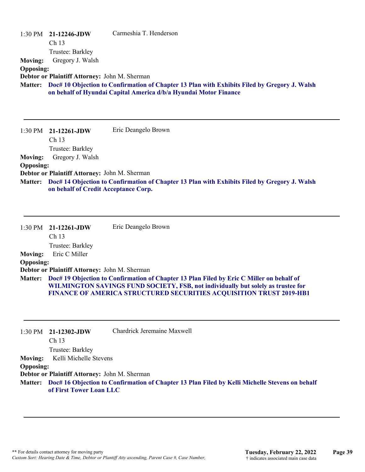| <b>Moving:</b><br><b>Opposing:</b><br><b>Matter:</b> | $1:30 \text{ PM}$ 21-12246-JDW<br>Ch <sub>13</sub><br>Trustee: Barkley<br>Gregory J. Walsh<br>Debtor or Plaintiff Attorney: John M. Sherman | Carmeshia T. Henderson<br>Doc# 10 Objection to Confirmation of Chapter 13 Plan with Exhibits Filed by Gregory J. Walsh<br>on behalf of Hyundai Capital America d/b/a Hyundai Motor Finance                                                                 |
|------------------------------------------------------|---------------------------------------------------------------------------------------------------------------------------------------------|------------------------------------------------------------------------------------------------------------------------------------------------------------------------------------------------------------------------------------------------------------|
| $1:30$ PM                                            | 21-12261-JDW<br>Ch <sub>13</sub><br>Trustee: Barkley                                                                                        | Eric Deangelo Brown                                                                                                                                                                                                                                        |
| <b>Moving:</b>                                       | Gregory J. Walsh                                                                                                                            |                                                                                                                                                                                                                                                            |
| <b>Opposing:</b>                                     |                                                                                                                                             |                                                                                                                                                                                                                                                            |
| <b>Matter:</b>                                       | Debtor or Plaintiff Attorney: John M. Sherman<br>on behalf of Credit Acceptance Corp.                                                       | Doc# 14 Objection to Confirmation of Chapter 13 Plan with Exhibits Filed by Gregory J. Walsh                                                                                                                                                               |
| 1:30 PM                                              | 21-12261-JDW<br>Ch <sub>13</sub><br>Trustee: Barkley                                                                                        | Eric Deangelo Brown                                                                                                                                                                                                                                        |
| <b>Moving:</b>                                       | Eric C Miller                                                                                                                               |                                                                                                                                                                                                                                                            |
| <b>Opposing:</b>                                     |                                                                                                                                             |                                                                                                                                                                                                                                                            |
| <b>Matter:</b>                                       | Debtor or Plaintiff Attorney: John M. Sherman                                                                                               | Doc# 19 Objection to Confirmation of Chapter 13 Plan Filed by Eric C Miller on behalf of<br>WILMINGTON SAVINGS FUND SOCIETY, FSB, not individually but solely as trustee for<br><b>FINANCE OF AMERICA STRUCTURED SECURITIES ACQUISITION TRUST 2019-HB1</b> |
| 1:30 PM                                              | 21-12302-JDW<br>Ch 13<br>Trustee: Barkley                                                                                                   | Chardrick Jeremaine Maxwell                                                                                                                                                                                                                                |
| <b>Moving:</b>                                       | Kelli Michelle Stevens                                                                                                                      |                                                                                                                                                                                                                                                            |
| <b>Opposing:</b>                                     | Debtor or Plaintiff Attorney: John M. Sherman                                                                                               |                                                                                                                                                                                                                                                            |
| <b>Matter:</b>                                       | of First Tower Loan LLC                                                                                                                     | Doc# 16 Objection to Confirmation of Chapter 13 Plan Filed by Kelli Michelle Stevens on behalf                                                                                                                                                             |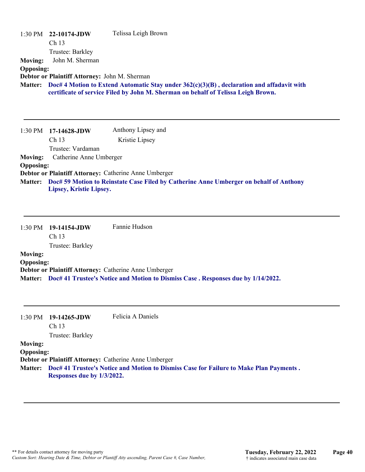| <b>Moving:</b>                     | 1:30 PM 22-10174-JDW<br>Ch 13<br>Trustee: Barkley<br>John M. Sherman | Telissa Leigh Brown                                                                                                                                                                    |
|------------------------------------|----------------------------------------------------------------------|----------------------------------------------------------------------------------------------------------------------------------------------------------------------------------------|
| <b>Opposing:</b>                   | Debtor or Plaintiff Attorney: John M. Sherman                        | Matter: Doc# 4 Motion to Extend Automatic Stay under 362(c)(3)(B), declaration and affadavit with<br>certificate of service Filed by John M. Sherman on behalf of Telissa Leigh Brown. |
|                                    | 1:30 PM 17-14628-JDW<br>Ch 13<br>Trustee: Vardaman                   | Anthony Lipsey and<br>Kristie Lipsey                                                                                                                                                   |
| <b>Moving:</b>                     | Catherine Anne Umberger                                              |                                                                                                                                                                                        |
| <b>Opposing:</b>                   |                                                                      | Debtor or Plaintiff Attorney: Catherine Anne Umberger                                                                                                                                  |
| <b>Matter:</b>                     | Lipsey, Kristie Lipsey.                                              | Doc# 59 Motion to Reinstate Case Filed by Catherine Anne Umberger on behalf of Anthony                                                                                                 |
|                                    |                                                                      |                                                                                                                                                                                        |
| $1:30$ PM                          | 19-14154-JDW<br>Ch <sub>13</sub>                                     | Fannie Hudson                                                                                                                                                                          |
|                                    | Trustee: Barkley                                                     |                                                                                                                                                                                        |
| <b>Moving:</b>                     |                                                                      |                                                                                                                                                                                        |
| <b>Opposing:</b>                   |                                                                      | Debtor or Plaintiff Attorney: Catherine Anne Umberger                                                                                                                                  |
|                                    |                                                                      | Matter: Doc# 41 Trustee's Notice and Motion to Dismiss Case. Responses due by 1/14/2022.                                                                                               |
| 1:30 PM                            | 19-14265-JDW<br>Ch 13                                                | Felicia A Daniels                                                                                                                                                                      |
|                                    | Trustee: Barkley                                                     |                                                                                                                                                                                        |
| <b>Moving:</b><br><b>Opposing:</b> |                                                                      |                                                                                                                                                                                        |
|                                    |                                                                      | Debtor or Plaintiff Attorney: Catherine Anne Umberger                                                                                                                                  |

**Doc# 41 Trustee's Notice and Motion to Dismiss Case for Failure to Make Plan Payments . Matter: Responses due by 1/3/2022.**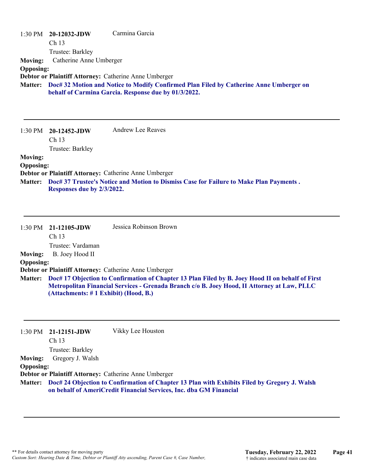| $1:30$ PM        | $20-12032$ -JDW           | Carmina Garcia                                                                         |
|------------------|---------------------------|----------------------------------------------------------------------------------------|
|                  | Ch <sub>13</sub>          |                                                                                        |
|                  | Trustee: Barkley          |                                                                                        |
| <b>Moving:</b>   | Catherine Anne Umberger   |                                                                                        |
| <b>Opposing:</b> |                           |                                                                                        |
|                  |                           | Debtor or Plaintiff Attorney: Catherine Anne Umberger                                  |
| <b>Matter:</b>   |                           | Doc# 32 Motion and Notice to Modify Confirmed Plan Filed by Catherine Anne Umberger on |
|                  |                           | behalf of Carmina Garcia. Response due by 01/3/2022.                                   |
|                  |                           |                                                                                        |
|                  |                           |                                                                                        |
|                  |                           |                                                                                        |
|                  | $1:30$ PM $20-12452$ -JDW | <b>Andrew Lee Reaves</b>                                                               |
|                  | Ch <sub>13</sub>          |                                                                                        |
|                  | Trustee: Barkley          |                                                                                        |
| <b>Moving:</b>   |                           |                                                                                        |
| <b>Opposing:</b> |                           |                                                                                        |
|                  |                           | Debtor or Plaintiff Attorney: Catherine Anne Umberger                                  |

**Doc# 37 Trustee's Notice and Motion to Dismiss Case for Failure to Make Plan Payments . Matter: Responses due by 2/3/2022.**

|                  | $1:30 \text{ PM}$ 21-12105-JDW<br>Ch <sub>13</sub> | Jessica Robinson Brown                                                                                                                                                                          |
|------------------|----------------------------------------------------|-------------------------------------------------------------------------------------------------------------------------------------------------------------------------------------------------|
|                  | Trustee: Vardaman                                  |                                                                                                                                                                                                 |
| <b>Moving:</b>   | B. Joey Hood II                                    |                                                                                                                                                                                                 |
| <b>Opposing:</b> |                                                    |                                                                                                                                                                                                 |
|                  |                                                    | Debtor or Plaintiff Attorney: Catherine Anne Umberger                                                                                                                                           |
| <b>Matter:</b>   | (Attachments: #1 Exhibit) (Hood, B.)               | Doc# 17 Objection to Confirmation of Chapter 13 Plan Filed by B. Joey Hood II on behalf of First<br>Metropolitan Financial Services - Grenada Branch c/o B. Joey Hood, II Attorney at Law, PLLC |

|                  | $1:30$ PM $21-12151$ -JDW | Vikky Lee Houston                                                                                                                                                          |
|------------------|---------------------------|----------------------------------------------------------------------------------------------------------------------------------------------------------------------------|
|                  | Ch <sub>13</sub>          |                                                                                                                                                                            |
|                  | Trustee: Barkley          |                                                                                                                                                                            |
| <b>Moving:</b>   | Gregory J. Walsh          |                                                                                                                                                                            |
| <b>Opposing:</b> |                           |                                                                                                                                                                            |
|                  |                           | Debtor or Plaintiff Attorney: Catherine Anne Umberger                                                                                                                      |
|                  |                           | Matter: Doc# 24 Objection to Confirmation of Chapter 13 Plan with Exhibits Filed by Gregory J. Walsh<br>on behalf of AmeriCredit Financial Services, Inc. dba GM Financial |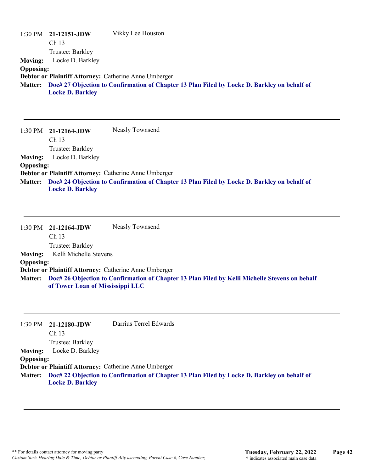|                  | $1:30 \text{ PM}$ 21-12151-JDW | Vikky Lee Houston                                                                                   |
|------------------|--------------------------------|-----------------------------------------------------------------------------------------------------|
|                  | Ch <sub>13</sub>               |                                                                                                     |
|                  | Trustee: Barkley               |                                                                                                     |
| <b>Moving:</b>   | Locke D. Barkley               |                                                                                                     |
| <b>Opposing:</b> |                                |                                                                                                     |
|                  |                                | Debtor or Plaintiff Attorney: Catherine Anne Umberger                                               |
|                  |                                | Matter: Doc# 27 Objection to Confirmation of Chapter 13 Plan Filed by Locke D. Barkley on behalf of |
|                  | <b>Locke D. Barkley</b>        |                                                                                                     |

|                  | $1:30 \text{ PM}$ 21-12164-JDW | Neasly Townsend                                                                                     |
|------------------|--------------------------------|-----------------------------------------------------------------------------------------------------|
|                  | Ch <sub>13</sub>               |                                                                                                     |
|                  | Trustee: Barkley               |                                                                                                     |
| <b>Moving:</b>   | Locke D. Barkley               |                                                                                                     |
| <b>Opposing:</b> |                                |                                                                                                     |
|                  |                                | Debtor or Plaintiff Attorney: Catherine Anne Umberger                                               |
|                  |                                | Matter: Doc# 24 Objection to Confirmation of Chapter 13 Plan Filed by Locke D. Barkley on behalf of |
|                  | <b>Locke D. Barkley</b>        |                                                                                                     |

|                  | $1:30 \text{ PM}$ 21-12164-JDW                        | Neasly Townsend                                                                                        |
|------------------|-------------------------------------------------------|--------------------------------------------------------------------------------------------------------|
|                  | Ch <sub>13</sub>                                      |                                                                                                        |
|                  | Trustee: Barkley                                      |                                                                                                        |
| <b>Moving:</b>   | Kelli Michelle Stevens                                |                                                                                                        |
| <b>Opposing:</b> |                                                       |                                                                                                        |
|                  | Debtor or Plaintiff Attorney: Catherine Anne Umberger |                                                                                                        |
|                  | of Tower Loan of Mississippi LLC                      | Matter: Doc# 26 Objection to Confirmation of Chapter 13 Plan Filed by Kelli Michelle Stevens on behalf |

|                  | $1:30 \text{ PM}$ 21-12180-JDW | Darrius Terrel Edwards                                                                              |
|------------------|--------------------------------|-----------------------------------------------------------------------------------------------------|
|                  | Ch <sub>13</sub>               |                                                                                                     |
|                  | Trustee: Barkley               |                                                                                                     |
| <b>Moving:</b>   | Locke D. Barkley               |                                                                                                     |
| <b>Opposing:</b> |                                |                                                                                                     |
|                  |                                | Debtor or Plaintiff Attorney: Catherine Anne Umberger                                               |
|                  |                                | Matter: Doc# 22 Objection to Confirmation of Chapter 13 Plan Filed by Locke D. Barkley on behalf of |

**Locke D. Barkley**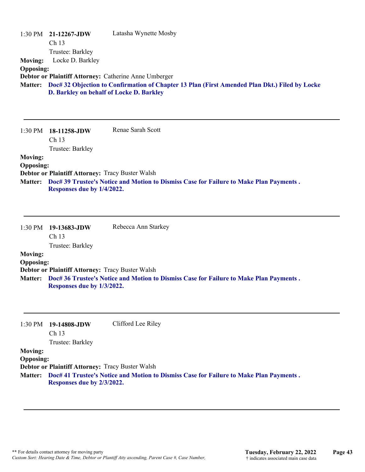| <b>Moving:</b><br><b>Opposing:</b>                   | 1:30 PM 21-12267-JDW<br>Ch 13<br>Trustee: Barkley<br>Locke D. Barkley                              | Latasha Wynette Mosby<br>Debtor or Plaintiff Attorney: Catherine Anne Umberger<br>Matter: Doc# 32 Objection to Confirmation of Chapter 13 Plan (First Amended Plan Dkt.) Filed by Locke<br>D. Barkley on behalf of Locke D. Barkley |
|------------------------------------------------------|----------------------------------------------------------------------------------------------------|-------------------------------------------------------------------------------------------------------------------------------------------------------------------------------------------------------------------------------------|
| 1:30 PM                                              | 18-11258-JDW<br>Ch <sub>13</sub><br>Trustee: Barkley                                               | Renae Sarah Scott                                                                                                                                                                                                                   |
| <b>Moving:</b><br><b>Opposing:</b><br><b>Matter:</b> | Debtor or Plaintiff Attorney: Tracy Buster Walsh<br>Responses due by 1/4/2022.                     | Doc# 39 Trustee's Notice and Motion to Dismiss Case for Failure to Make Plan Payments.                                                                                                                                              |
| 1:30 PM                                              | 19-13683-JDW<br>Ch 13                                                                              | Rebecca Ann Starkey                                                                                                                                                                                                                 |
| <b>Moving:</b><br><b>Opposing:</b><br><b>Matter:</b> | Trustee: Barkley<br>Debtor or Plaintiff Attorney: Tracy Buster Walsh<br>Responses due by 1/3/2022. | Doc# 36 Trustee's Notice and Motion to Dismiss Case for Failure to Make Plan Payments.                                                                                                                                              |
| 1:30 PM<br><b>Moving:</b>                            | 19-14808-JDW<br>Ch 13<br>Trustee: Barkley                                                          | Clifford Lee Riley                                                                                                                                                                                                                  |

**Opposing:**

**Debtor or Plaintiff Attorney:** Tracy Buster Walsh

**Doc# 41 Trustee's Notice and Motion to Dismiss Case for Failure to Make Plan Payments . Matter: Responses due by 2/3/2022.**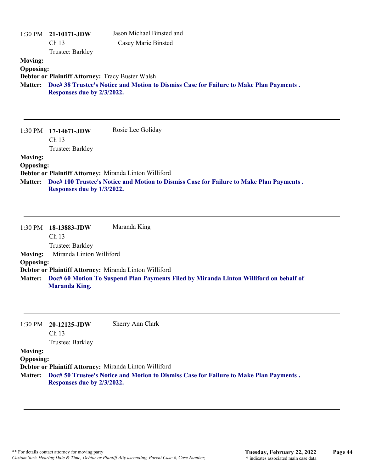| <b>Moving:</b><br><b>Opposing:</b>                   | 1:30 PM 21-10171-JDW<br>Ch <sub>13</sub><br>Trustee: Barkley                         | Jason Michael Binsted and<br>Casey Marie Binsted                                               |
|------------------------------------------------------|--------------------------------------------------------------------------------------|------------------------------------------------------------------------------------------------|
|                                                      | Debtor or Plaintiff Attorney: Tracy Buster Walsh<br>Responses due by 2/3/2022.       | Matter: Doc# 38 Trustee's Notice and Motion to Dismiss Case for Failure to Make Plan Payments. |
| 1:30 PM                                              | 17-14671-JDW<br>Ch 13<br>Trustee: Barkley                                            | Rosie Lee Goliday                                                                              |
| <b>Moving:</b><br><b>Opposing:</b>                   | Debtor or Plaintiff Attorney: Miranda Linton Williford                               |                                                                                                |
| Matter:                                              | Responses due by 1/3/2022.                                                           | Doc# 100 Trustee's Notice and Motion to Dismiss Case for Failure to Make Plan Payments.        |
| 1:30 PM                                              | 18-13883-JDW<br>Ch 13                                                                | Maranda King                                                                                   |
| <b>Moving:</b><br><b>Opposing:</b>                   | Trustee: Barkley<br>Miranda Linton Williford                                         |                                                                                                |
| <b>Matter:</b>                                       | Debtor or Plaintiff Attorney: Miranda Linton Williford<br><b>Maranda King.</b>       | Doc# 60 Motion To Suspend Plan Payments Filed by Miranda Linton Williford on behalf of         |
| 1:30 PM                                              | 20-12125-JDW<br>Ch 13<br>Trustee: Barkley                                            | Sherry Ann Clark                                                                               |
| <b>Moving:</b><br><b>Opposing:</b><br><b>Matter:</b> | Debtor or Plaintiff Attorney: Miranda Linton Williford<br>Responses due by 2/3/2022. | Doc# 50 Trustee's Notice and Motion to Dismiss Case for Failure to Make Plan Payments.         |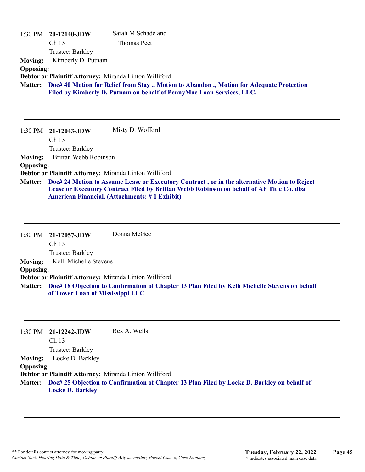| 1:30 PM          | 20-12140-JDW          | Sarah M Schade and                                                                                                                               |
|------------------|-----------------------|--------------------------------------------------------------------------------------------------------------------------------------------------|
|                  | Ch <sub>13</sub>      | Thomas Peet                                                                                                                                      |
|                  | Trustee: Barkley      |                                                                                                                                                  |
| <b>Moving:</b>   | Kimberly D. Putnam    |                                                                                                                                                  |
| <b>Opposing:</b> |                       |                                                                                                                                                  |
|                  |                       | Debtor or Plaintiff Attorney: Miranda Linton Williford                                                                                           |
| <b>Matter:</b>   |                       | Doc# 40 Motion for Relief from Stay ., Motion to Abandon ., Motion for Adequate Protection                                                       |
|                  |                       | Filed by Kimberly D. Putnam on behalf of PennyMac Loan Services, LLC.                                                                            |
|                  |                       |                                                                                                                                                  |
|                  |                       |                                                                                                                                                  |
|                  |                       |                                                                                                                                                  |
| $1:30$ PM        | $21-12043$ -JDW       | Misty D. Wofford                                                                                                                                 |
|                  | Ch <sub>13</sub>      |                                                                                                                                                  |
|                  | Trustee: Barkley      |                                                                                                                                                  |
| <b>Moving:</b>   | Brittan Webb Robinson |                                                                                                                                                  |
| <b>Opposing:</b> |                       |                                                                                                                                                  |
|                  |                       | Debtor or Plaintiff Attorney: Miranda Linton Williford                                                                                           |
| <b>Matter:</b>   |                       | Doc# 24 Motion to Assume Lease or Executory Contract, or in the alternative Motion to Reject                                                     |
|                  |                       | Lease or Executory Contract Filed by Brittan Webb Robinson on behalf of AF Title Co. dba<br><b>American Financial. (Attachments: #1 Exhibit)</b> |

1:30 PM **21-12057-JDW**  Ch 13 Trustee: Barkley Donna McGee **Moving:** Kelli Michelle Stevens **Opposing: Debtor or Plaintiff Attorney:** Miranda Linton Williford **Doc# 18 Objection to Confirmation of Chapter 13 Plan Filed by Kelli Michelle Stevens on behalf Matter: of Tower Loan of Mississippi LLC**

|                  | $1:30 \text{ PM}$ 21-12242-JDW                         | Rex A. Wells                                                                                        |
|------------------|--------------------------------------------------------|-----------------------------------------------------------------------------------------------------|
|                  | Ch <sub>13</sub>                                       |                                                                                                     |
|                  | Trustee: Barkley                                       |                                                                                                     |
| <b>Moving:</b>   | Locke D. Barkley                                       |                                                                                                     |
| <b>Opposing:</b> |                                                        |                                                                                                     |
|                  | Debtor or Plaintiff Attorney: Miranda Linton Williford |                                                                                                     |
|                  |                                                        | Matter: Doc# 25 Objection to Confirmation of Chapter 13 Plan Filed by Locke D. Barkley on behalf of |
|                  | <b>Locke D. Barkley</b>                                |                                                                                                     |